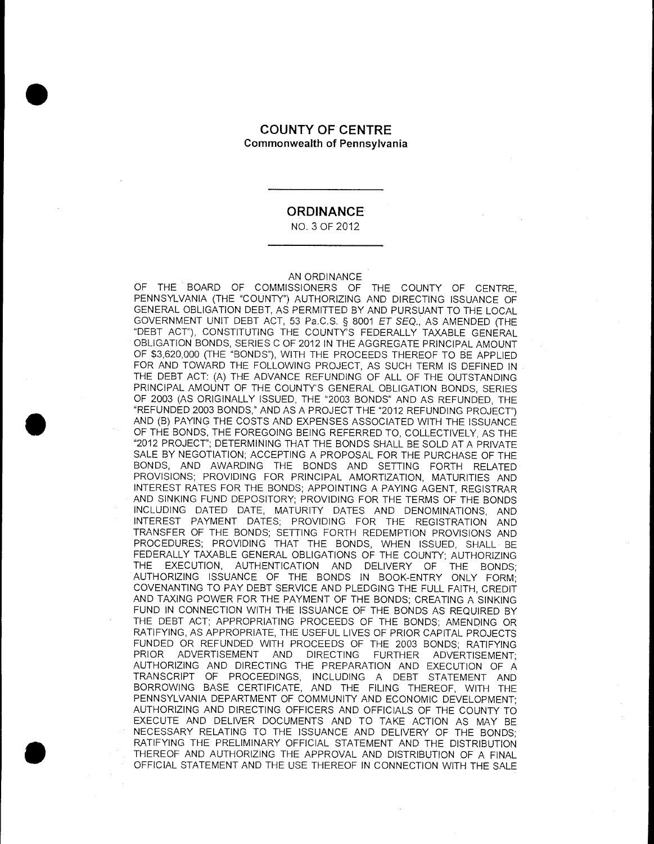#### COUNTY OF CENTRE **Commonwealth of Pennsylvania**

#### **ORDINANCE**

NO. 3 OF 2012

#### AN ORDINANCE

.

.

OF THE BOARD OF COMMISSIONERS OF THE COUNTY OF CENTRE, PENNSYLVANIA (THE "COUNTY") AUTHORIZING AND DIRECTING ISSUANCE OF GENERAL OBLIGATION DEBT, AS PERMITTED BY AND PURSUANT TO THE LOCAL GOVERNMENT UNIT DEBT ACT, 53 Pa.C.S. § 8001 ET SEQ., AS AMENDED (THE "DEBT ACT"), CONSTITUTING THE COUNTY'S FEDERALLY TAXABLE GENERAL OBLIGATION BONDS, SERIES C OF 2012 IN THE AGGREGATE PRINCIPAL AMOUNT OF \$3,620,000 (THE "BONDS"), WITH THE PROCEEDS THEREOF TO BE APPLIED FOR AND TOWARD THE FOLLOWING PROJECT, AS SUCH TERM IS DEFINED IN THE DEBT ACT: (A) THE ADVANCE REFUNDING OF ALL OF THE OUTSTANDING PRINCIPAL AMOUNT OF THE COUNTY'S GENERAL OBLIGATION BONDS, SERIES OF 2003 (AS ORIGINALLY ISSUED, THE "2003 BONDS" AND AS REFUNDED, THE "REFUNDED 2003 BONDS," AND AS A PROJECT THE "2012 REFUNDING PROJECT") AND (B) PAYING THE COSTS AND EXPENSES ASSOCIATED WITH THE ISSUANCE OF THE BONDS, THE FOREGOING BEING REFERRED TO, COLLECTIVELY, AS THE "2012 PROJECT"; DETERMINING THAT THE BONDS SHALL BE SOLD AT A PRIVATE SALE BY NEGOTIATION; ACCEPTING A PROPOSAL FOR THE PURCHASE OF THE BONDS, AND AWARDING THE BONDS AND SETTING FORTH RELATED PROVISIONS; PROVIDING FOR PRINCIPAL AMORTIZATION, MATURITIES AND INTEREST RATES FOR THE BONDS; APPOINTING A PAYING AGENT, REGISTRAR AND SINKING FUND DEPOSITORY; PROVIDING FOR THE TERMS OF THE BONDS INCLUDING DATED DATE, MATURITY DATES AND DENOMINATIONS, AND INTEREST PAYMENT DATES; PROVIDING FOR THE REGISTRATION AND TRANSFER OF THE BONDS; SETTING FORTH REDEMPTION PROVISIONS AND PROCEDURES; PROVIDING THAT THE BONDS, WHEN ISSUED, SHALL BE FEDERALLY TAXABLE GENERAL OBLIGATIONS OF THE COUNTY; AUTHORIZING THE EXECUTION, AUTHENTICATION AND DELIVERY OF THE BONDS; AUTHORIZING ISSUANCE OF THE BONDS IN BOOK-ENTRY ONLY FORM; COVENANTING TO PAY DEBT SERVICE AND PLEDGING THE FULL FAITH, CREDIT AND TAXING POWER FOR THE PAYMENT OF THE BONDS; CREATING A SINKING FUND IN CONNECTION WITH THE ISSUANCE OF THE BONDS AS REQUIRED BY THE DEBT ACT; APPROPRIATING PROCEEDS OF THE BONDS; AMENDING OR RATIFYING, AS APPROPRIATE, THE USEFUL LIVES OF PRIOR CAPITAL PROJECTS FUNDED OR REFUNDED WITH PROCEEDS OF THE 2003 BONDS; RATIFYING ADVERTISEMENT AND DIRECTING FURTHER ADVERTISEMENT; AUTHORIZING AND DIRECTING THE PREPARATION AND EXECUTION OF A TRANSCRIPT OF PROCEEDINGS, INCLUDING A DEBT STATEMENT AND BORROWING BASE CERTIFICATE, AND THE FILING THEREOF, WITH THE PENNSYLVANIA DEPARTMENT OF COMMUNITY AND ECONOMIC DEVELOPMENT; AUTHORIZING AND DIRECTING OFFICERS AND OFFICIALS OF THE COUNTY TO EXECUTE AND DELIVER DOCUMENTS AND TO TAKE ACTION AS MAY BE NECESSARY RELATING TO THE ISSUANCE AND DELIVERY OF THE BONDS; RATIFYING THE PRELIMINARY OFFICIAL STATEMENT AND THE DISTRIBUTION THEREOF AND AUTHORIZING THE APPROVAL AND DISTRIBUTION OF A FINAL OFFICIAL STATEMENT AND THE USE THEREOF IN CONNECTION WITH THE SALE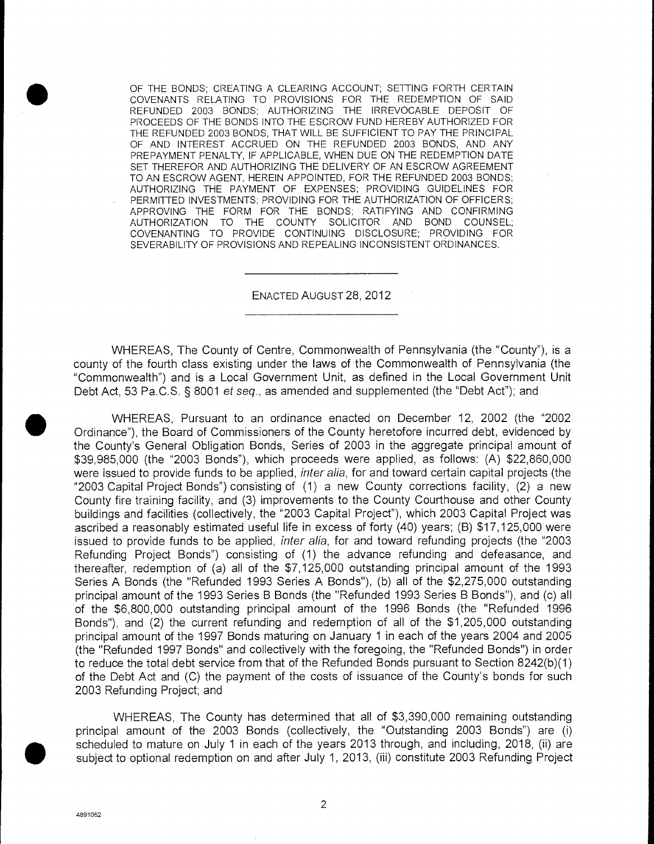OF THE BONDS; CREATING A CLEARING ACCOUNT; SETTING FORTH CERTAIN COVENANTS RELATING TO PROVISIONS FOR THE REDEMPTION OF SAID REFUNDED 2003 BONDS; AUTHORIZING THE IRREVOCABLE DEPOSIT OF PROCEEDS OF THE BONDS INTO THE ESCROW FUND HEREBY AUTHORIZED FOR THE REFUNDED 2003 BONDS, THAT WILL BE SUFFICIENT TO PAY THE PRINCIPAL OF AND INTEREST ACCRUED ON THE REFUNDED 2003 BONDS, AND ANY PREPAYMENT PENALTY, IF APPLICABLE, WHEN DUE ON THE REDEMPTION DATE SET THEREFOR AND AUTHORIZING THE DELIVERY OF AN ESCROW AGREEMENT TO AN ESCROW AGENT, HEREIN APPOINTED, FOR THE REFUNDED 2003 BONDS; AUTHORIZING THE PAYMENT OF EXPENSES; PROVIDING GUIDELINES FOR PERMITTED INVESTMENTS; PROVIDING FOR THE AUTHORIZATION OF OFFICERS; APPROVING THE FORM FOR THE BONDS; RATIFYING AND CONFIRMING AUTHORIZATION TO THE COUNTY SOLICITOR AND BOND COUNSEL; COVENANTING TO PROVIDE CONTINUING DISCLOSURE; PROVIDING FOR SEVERABILITY OF PROVISIONS AND REPEALING INCONSISTENT ORDINANCES.

ENACTED AUGUST 28, 2012

WHEREAS, The County of Centre, Commonwealth of Pennsylvania (the "County"), is a county of the fourth class existing under the laws of the Commonwealth of Pennsylvania (the "Commonwealth") and is a Local Government Unit, as defined in the Local Government Unit Debt Act, 53 Pa.C.S. § 8001 et seq., as amended and supplemented (the "Debt Act"); and

WHEREAS, Pursuant to an ordinance enacted on December 12, 2002 (the "2002 Ordinance"), the Board of Commissioners of the County heretofore incurred debt, evidenced by the County's General Obligation Bonds, Series of 2003 in the aggregate principal amount of \$39,985,000 (the "2003 Bonds"), which proceeds were applied, as follows: (A) \$22,860,000 were issued to provide funds to be applied, *inter alia*, for and toward certain capital projects (the "2003 Capital Project Bonds") consisting of (1) a new County corrections facility, (2) a new County fire training facility, and (3) improvements to the County Courthouse and other County buildings and facilities (collectively, the "2003 Capital Project"), which 2003 Capital Project was ascribed a reasonably estimated useful life in excess of forty (40) years; (B) \$17,125,000 were issued to provide funds to be applied, *inter alia*, for and toward refunding projects (the "2003 Refunding Project Bonds") consisting of (1) the advance refunding and defeasance, and thereafter, redemption of (a) all of the \$7,125,000 outstanding principal amount of the 1993 Series A Bonds (the "Refunded 1993 Series A Bonds"), (b) all of the \$2,275,000 outstanding principal amount of the 1993 Series B Bonds (the "Refunded 1993 Series B Bonds"), and (c) all of the \$6,800,000 outstanding principal amount of the 1996 Bonds (the "Refunded 1996 Bonds"), and (2) the current refunding and redemption of all of the \$1,205,000 outstanding principal amount of the 1997 Bonds maturing on January 1 in each of the years 2004 and 2005 (the "Refunded 1997 Bonds" and collectively with the foregoing, the "Refunded Bonds") in order to reduce the total debt service from that of the Refunded Bonds pursuant to Section 8242(b)(1) of the Debt Act and (C) the payment of the costs of issuance of the County's bonds for such 2003 Refunding Project; and

WHEREAS, The County has determined that all of \$3,390,000 remaining outstanding principal amount of the 2003 Bonds (collectively, the "Outstanding 2003 Bonds") are (I) scheduled to mature on July 1 in each of the years 2013 through, and including, 2018, (ii) are subject to optional redemption on and after July 1, 2013, (iii) constitute 2003 Refunding Project

 $\bullet$ 

 $\overline{2}$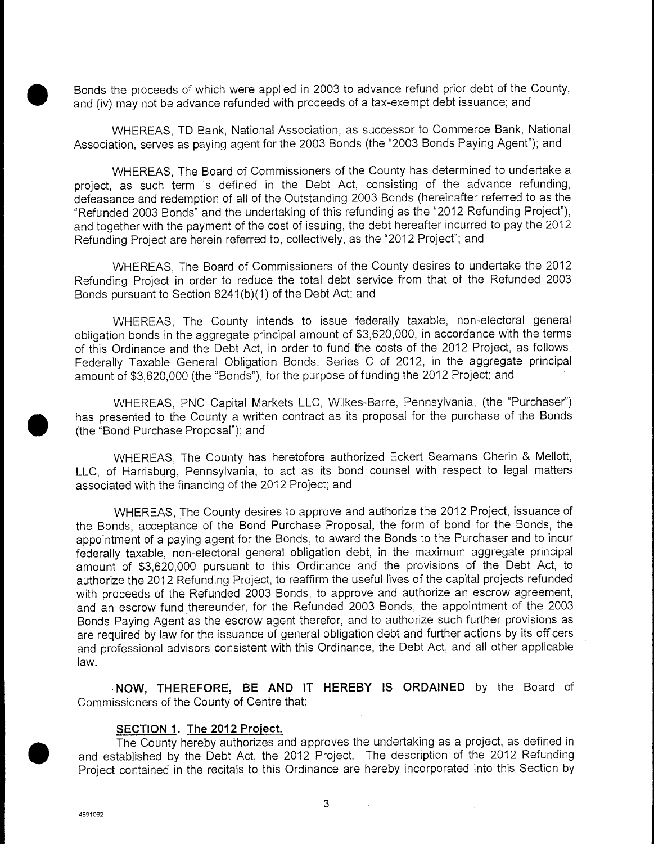Bonds the proceeds of which were applied in 2003 to advance refund prior debt of the County, and (iv) may not be advance refunded with proceeds of a tax-exempt debt issuance; and

WHEREAS, TO Bank, National Association, as successor to Commerce Bank, National Association, serves as paying agent for the 2003 Bonds (the "2003 Bonds Paying Agent"); and

WHEREAS, The Board of Commissioners of the County has determined to undertake a project, as such term is defined in the Debt Act, consisting of the advance refunding, defeasance and redemption of all of the Outstanding 2003 Bonds (hereinafter referred to as the "Refunded 2003 Bonds" and the undertaking of this refunding as the "2012 Refunding Project"), and together with the payment of the cost of issuing, the debt hereafter incurred to pay the 2012 Refunding Project are herein referred to, collectively, as the "2012 Project"; and

WHEREAS, The Board of Commissioners of the County desires to undertake the 2012 Refunding Project in order to reduce the total debt service from that of the Refunded 2003 Bonds pursuant to Section 8241 (b)(1) of the Debt Act; and

WHEREAS, The County intends to issue federally taxable, non-electoral general obligation bonds in the aggregate principal amount of \$3,620,000, in accordance with the terms of this Ordinance and the Debt Act, in order to fund the costs of the 2012 Project, as follows, Federally Taxable General Obligation Bonds, Series C of 2012, in the aggregate principal amount of \$3,620,000 (the "Bonds"), for the purpose of funding the 2012 Project; and

WHEREAS, PNC Capital Markets LLC, Wilkes-Barre, Pennsylvania, (the "Purchaser") has presented to the County a written contract as its proposal for the purchase of the Bonds (the "Bond Purchase Proposal"); and

WHEREAS, The County has heretofore authorized Eckert Seamans Cherin & Mellott, LLC, of Harrisburg, Pennsylvania, to act as its bond counsel with respect to legal matters associated with the financing of the 2012 Project; and

WHEREAS, The County desires to approve and authorize the 2012 Project, issuance of the Bonds, acceptance of the Bond Purchase Proposal, the form of bond for the Bonds, the appointment of a paying agent for the Bonds, to award the Bonds to the Purchaser and to incur federally taxable, non-electoral general obligation debt, in the maximum aggregate principal amount of \$3,620,000 pursuant to this Ordinance and the provisions of the Debt Act, to authorize the 2012 Refunding Project, to reaffirm the useful lives of the capital projects refunded with proceeds of the Refunded 2003 Bonds, to approve and authorize an escrow agreement, and an escrow fund thereunder, for the Refunded 2003 Bonds, the appointment of the 2003 Bonds Paying Agent as the escrow agent therefor, and to authorize such further provisions as are required by law for the issuance of general obligation debt and further actions by its officers and professional advisors consistent with this Ordinance, the Debt Act, and all other applicable law.

**NOW, THEREFORE, BE AND** IT **HEREBY IS ORDAINED** by the Board of Commissioners of the County of Centre that:

#### **SECTION 1. The 2012 Project.**

 $\bigcirc$  and  $\bigcirc$ The County hereby authorizes and approves the undertaking as a project, as defined in established by the Debt Act, the 2012 Project. The description of the 2012 Refunding Project contained in the recitals to this Ordinance are hereby incorporated into this Section by

4891062

 $\mathcal{L}_{\mathcal{A}}$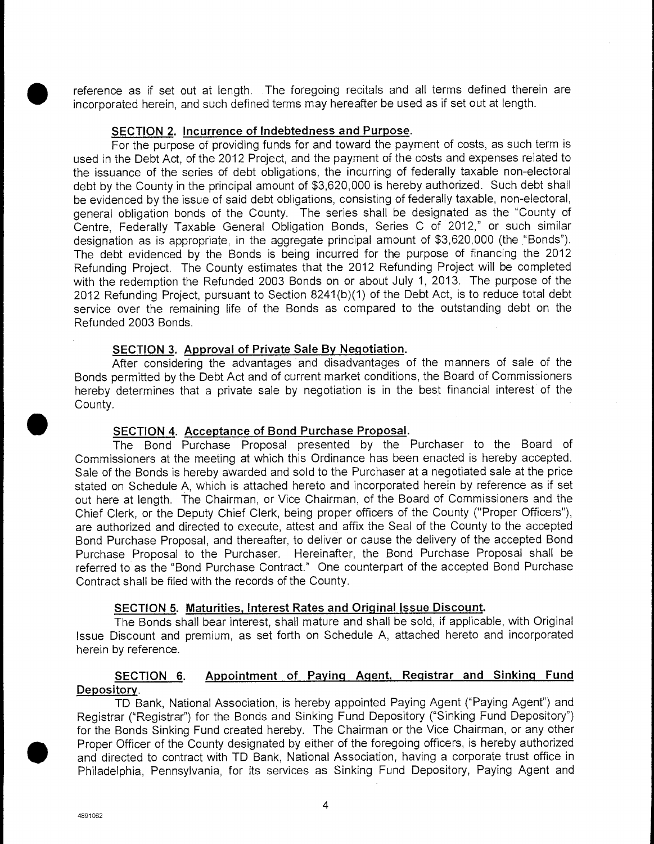reference as if set out at length. The foregoing recitals and all terms defined therein are incorporated herein, and such defined terms may hereafter be used as if set out at length.

#### **SECTION 2. Incurrence of Indebtedness and Purpose.**

For the purpose of providing funds for and toward the payment of costs, as such term is used in the Debt Act, of the 2012 Project, and the payment of the costs and expenses related to the issuance of the series of debt obligations, the incurring of federally taxable non-electoral debt by the County in the principal amount of \$3,620,000 is hereby authorized. Such debt shall be evidenced by the issue of said debt obligations, consisting of federally taxable, non-electoral, general obligation bonds of the County. The series shall be designated as the "County of Centre, Federally Taxable General Obligation Bonds, Series C of 2012," or such similar designation as is appropriate, in the aggregate principal amount of \$3,620,000 (the "Bonds"). The debt evidenced by the Bonds is being incurred for the purpose of financing the 2012 Refunding Project. The County estimates that the 2012 Refunding Project will be completed with the redemption the Refunded 2003 Bonds on or about July 1, 2013. The purpose of the 2012 Refunding Project, pursuant to Section 8241(b)(1) of the Debt Act, is to reduce total debt service over the remaining life of the Bonds as compared to the outstanding debt on the Refunded 2003 Bonds.

#### **SECTION 3. Approval of Private Sale By Negotiation.**

After considering the advantages and disadvantages of the manners of sale of the Bonds permitted by the Debt Act and of current market conditions, the Board of Commissioners hereby determines that a private sale by negotiation is in the best financial interest of the County.

#### **SECTION 4. Acceptance of Bond Purchase Proposal.**

The Bond Purchase Proposal presented by the Purchaser to the Board of Commissioners at the meeting at which this Ordinance has been enacted is hereby accepted. Sale of the Bonds is hereby awarded and sold to the Purchaser at a negotiated sale at the price stated on Schedule A, which is attached hereto and incorporated herein by reference as if set out here at length. The Chairman, or Vice Chairman, of the Board of Commissioners and the Chief Clerk, or the Deputy Chief Clerk, being proper officers of the County ("Proper Officers"), are authorized and directed to execute, attest and affix the Seal of the County to the accepted Bond Purchase Proposal, and thereafter, to deliver or cause the delivery of the accepted Bond Purchase Proposal to the Purchaser. Hereinafter, the Bond Purchase Proposal shall be referred to as the "Bond Purchase Contract." One counterpart of the accepted Bond Purchase Contract shall be filed with the records of the County.

#### **SECTION 5. Maturities, Interest Rates and Original Issue Discount.**

The Bonds shall bear interest, shall mature and shall be sold, if applicable, with Original Issue Discount and premium, as set forth on Schedule A, attached hereto and incorporated herein by reference.

#### **SECTION 6. Appointment of Paying Agent, Registrar and Sinking Fund Depository.**

TD Bank, National Association, is hereby appointed Paying Agent ("Paying Agent") and Registrar ("Registrar") for the Bonds and Sinking Fund Depository ("Sinking Fund Depository") for the Bonds Sinking Fund created hereby. The Chairman or the Vice Chairman, or any other • Proper Officer of the County designated by either of the foregoing officers, is hereby authorized and directed to contract with TD Bank, National Association, having a corporate trust office in Philadelphia, Pennsylvania, for its services as Sinking Fund Depository, Paying Agent and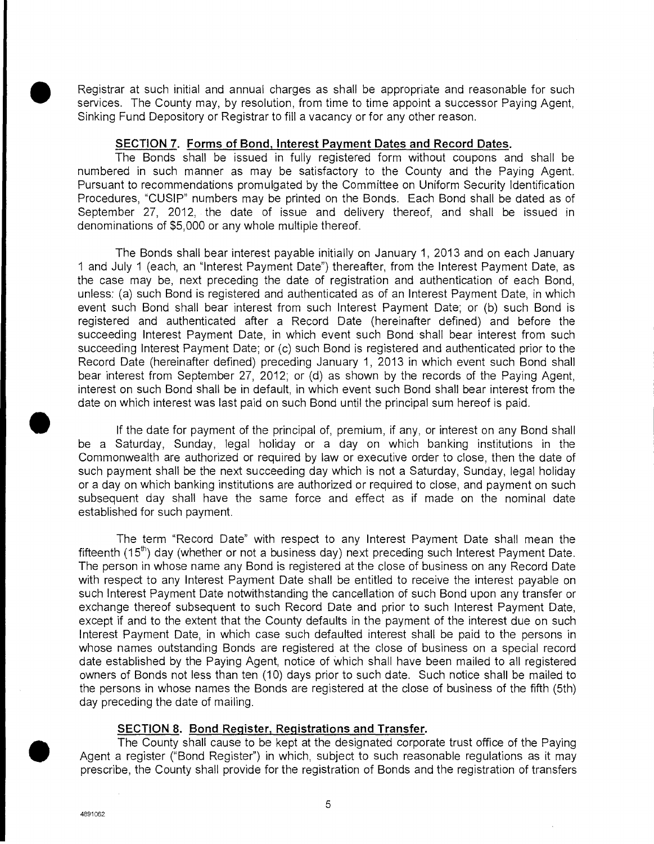Registrar at such initial and annual charges as shall be appropriate and reasonable for such services. The County may, by resolution, from time to time appoint a successor Paying Agent, Sinking Fund Depository or Registrar to fill a vacancy or for any other reason.

#### **SECTION 7. Forms of Bond, Interest Payment Dates and Record Dates.**

The Bonds shall be issued in fully registered form without coupons and shall be numbered in such manner as may be satisfactory to the County and the Paying Agent. Pursuant to recommendations promulgated by the Committee on Uniform Security Identification Procedures, "CUSIP" numbers may be printed on the Bonds. Each Bond shall be dated as of September 27, 2012, the date of issue and delivery thereof, and shall be issued in denominations of \$5,000 or any whole multiple thereof.

The Bonds shall bear interest payable initially on January 1, 2013 and on each January I and July 1 (each, an "Interest Payment Date") thereafter, from the Interest Payment Date, as the case may be, next preceding the date of registration and authentication of each Bond, unless: (a) such Bond is registered and authenticated as of an Interest Payment Date, in which event such Bond shall bear interest from such Interest Payment Date; or (b) such Bond is registered and authenticated after a Record Date (hereinafter defined) and before the succeeding Interest Payment Date, in which event such Bond shall bear interest from such succeeding Interest Payment Date; or (c) such Bond is registered and authenticated prior to the Record Date (hereinafter defined) preceding January 1, 2013 in which event such Bond shall bear interest from September 27, 2012; or (d) as shown by the records of the Paying Agent, interest on such Bond shall be in default, in which event such Bond shall bear interest from the date on which interest was last paid on such Bond until the principal sum hereof is paid.

If the date for payment of the principal of, premium, if any, or interest on any Bond shall be a Saturday, Sunday, legal holiday or a day on which banking institutions in the Commonwealth are authorized or required by law or executive order to close, then the date of such payment shall be the next succeeding day which is not a Saturday, Sunday, legal holiday or a day on which banking institutions are authorized or required to close, and payment on such subsequent day shall have the same force and effect as if made on the nominal date established for such payment.

The term "Record Date" with respect to any Interest Payment Date shall mean the fifteenth (15<sup>th</sup>) day (whether or not a business day) next preceding such Interest Payment Date. The person in whose name any Bond is registered at the close of business on any Record Date with respect to any Interest Payment Date shall be entitled to receive the interest payable on such Interest Payment Date notwithstanding the cancellation of such Bond upon any transfer or exchange thereof subsequent to such Record Date and prior to such Interest Payment Date, except if and to the extent that the County defaults in the payment of the interest due on such Interest Payment Date, in which case such defaulted interest shall be paid to the persons in whose names outstanding Bonds are registered at the close of business on a special record date established by the Paying Agent, notice of which shall have been mailed to all registered owners of Bonds not less than ten (10) days prior to such date. Such notice shall be mailed to the persons in whose names the Bonds are registered at the close of business of the fifth (5th) day preceding the date of mailing.

#### **SECTION 8. Bond Register, Registrations and Transfer.**

The County shall cause to be kept at the designated corporate trust office of the Paying Agent a register ("Bond Register") in which, subject to such reasonable regulations as it may prescribe, the County shall provide for the registration of Bonds and the registration of transfers

4891062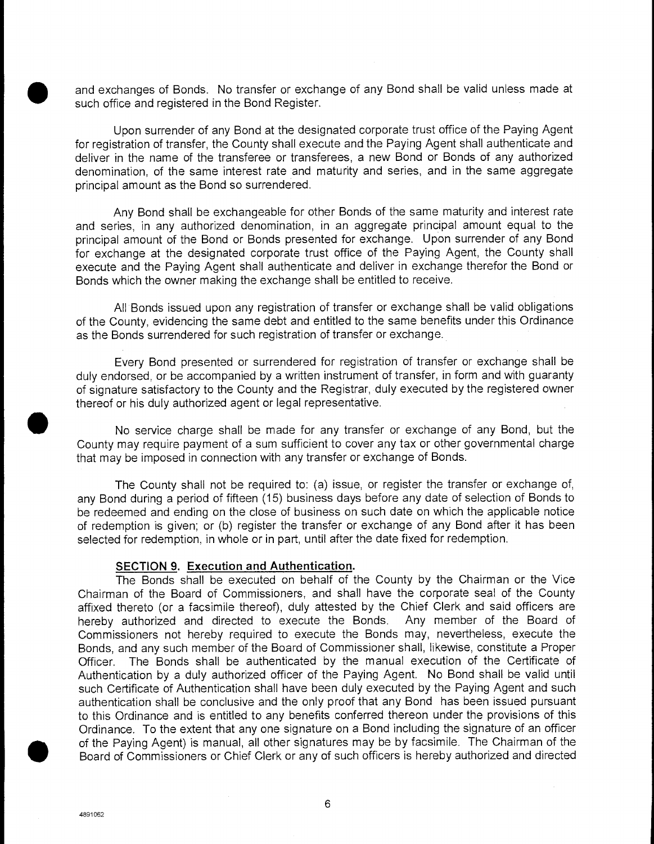and exchanges of Bonds. No transfer or exchange of any Bond shall be valid unless made at such office and registered in the Bond Register.

Upon surrender of any Bond at the designated corporate trust office of the Paying Agent for registration of transfer, the County shall execute and the Paying Agent shall authenticate and deliver in the name of the transferee or transferees, a new Bond or Bonds of any authorized denomination, of the same interest rate and maturity and series, and in the same aggregate principal amount as the Bond so surrendered.

Any Bond shall be exchangeable for other Bonds of the same maturity and interest rate and series, in any authorized denomination, in an aggregate principal amount equal to the principal amount of the Bond or Bonds presented for exchange. Upon surrender of any Bond for exchange at the designated corporate trust office of the Paying Agent, the County shall execute and the Paying Agent shall authenticate and deliver in exchange therefor the Bond or Bonds which the owner making the exchange shall be entitled to receive.

All Bonds issued upon any registration of transfer or exchange shall be valid obligations of the County, evidencing the same debt and entitled to the same benefits under this Ordinance as the Bonds surrendered for such registration of transfer or exchange.

Every Bond presented or surrendered for registration of transfer or exchange shall be duly endorsed, or be accompanied by a written instrument of transfer, in form and with guaranty of signature satisfactory to the County and the Registrar, duly executed by the registered owner thereof or his duly authorized agent or legal representative.

No service charge shall be made for any transfer or exchange of any Bond, but the County may require payment of a sum sufficient to cover any tax or other governmental charge that may be imposed in connection with any transfer or exchange of Bonds.

The County shall not be required to: (a) issue, or register the transfer or exchange of, any Bond during a period of fifteen (15) business days before any date of selection of Bonds to be redeemed and ending on the close of business on such date on which the applicable notice of redemption is given; or (b) register the transfer or exchange of any Bond after it has been selected for redemption, in whole or in part, until after the date fixed for redemption.

#### **SECTION 9. Execution and Authentication.**

The Bonds shall be executed on behalf of the County by the Chairman or the Vice Chairman of the Board of Commissioners, and shall have the corporate seal of the County affixed thereto (or a facsimile thereof), duly attested by the Chief Clerk and said officers are hereby authorized and directed to execute the Bonds. Any member of the Board of Commissioners not hereby required to execute the Bonds may, nevertheless, execute the Bonds, and any such member of the Board of Commissioner shall, likewise, constitute a Proper Officer. The Bonds shall be authenticated by the manual execution of the Certificate of Authentication by a duly authorized officer of the Paying Agent. No Bond shall be valid until such Certificate of Authentication shall have been duly executed by the Paying Agent and such authentication shall be conclusive and the only proof that any Bond has been issued pursuant to this Ordinance and is entitled to any benefits conferred thereon under the provisions of this Ordinance. To the extent that any one signature on a Bond including the signature of an officer • of the Paying Agent) is manual, all other signatures may be by facsimile. The Chairman of the Board of Commissioners or Chief Clerk or any of such officers is hereby authorized and directed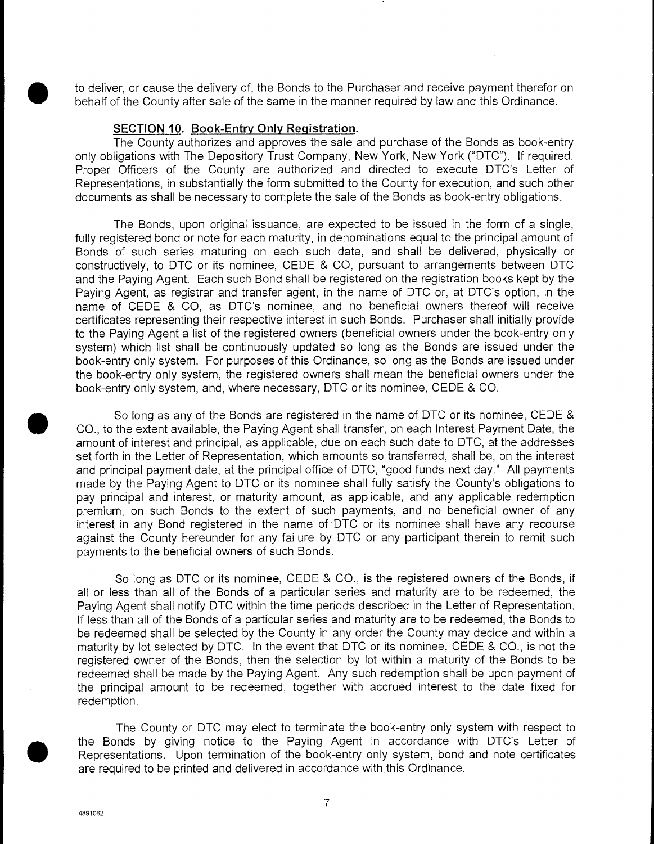to deliver, or cause the delivery of, the Bonds to the Purchaser and receive payment therefor on<br>behalf of the County after sale of the same in the manner required by law and this Ordinance.<br>SECTION 10. Book-Entry Only Reg behalf of the County after sale of the same in the manner required by law and this Ordinance.

#### **SECTION 10. Book-Entry Only Registration.**

The County authorizes and approves the sale and purchase of the Bonds as book-entry only obligations with The Depository Trust Company, New York, New York ("DTC"). If required, Proper Officers of the County are authorized and directed to execute DTC's Letter of Representations, in substantially the form submitted to the County for execution, and such other documents as shall be necessary to complete the sale of the Bonds as book-entry obligations.

The Bonds, upon original issuance, are expected to be issued in the form of a single, fully registered bond or note for each maturity, in denominations equal to the principal amount of Bonds of such series maturing on each such date, and shall be delivered, physically or constructively, to DTC or its nominee, CEDE & CO, pursuant to arrangements between DTC and the Paying Agent. Each such Bond shall be registered on the registration books kept by the Paying Agent, as registrar and transfer agent, in the name of DTC or, at DTC's option, in the name of CEDE & CO, as DTC's nominee, and no beneficial owners thereof will receive certificates representing their respective interest in such Bonds. Purchaser shall initially provide to the Paying Agent a list of the registered owners (beneficial owners under the book-entry only system) which list shall be continuously updated so long as the Bonds are issued under the book-entry only system. For purposes of this Ordinance, so long as the Bonds are issued under the book-entry only system, the registered owners shall mean the beneficial owners under the book-entry only system, and, where necessary, DTC or its nominee, CEDE & CO.

So long as any of the Bonds are registered in the name of DTC or its nominee, CEDE & CO., to the extent available, the Paying Agent shall transfer, on each Interest Payment Date, the amount of interest and principal, as applicable, due on each such date to DTC, at the addresses set forth in the Letter of Representation, which amounts so transferred, shall be, on the interest and principal payment date, at the principal office of DTC, "good funds next day." All payments made by the Paying Agent to DTC or its nominee shall fully satisfy the County's obligations to pay principal and interest, or maturity amount, as applicable, and any applicable redemption premium, on such Bonds to the extent of such payments, and no beneficial owner of any interest in any Bond registered in the name of DTC or its nominee shall have any recourse against the County hereunder for any failure by DTC or any participant therein to remit such payments to the beneficial owners of such Bonds.

So long as DTC or its nominee, CEDE & CO., is the registered owners of the Bonds, if all or less than all of the Bonds of a particular series and maturity are to be redeemed, the Paying Agent shall notify DTC within the time periods described in the Letter of Representation. If less than all of the Bonds of a particular series and maturity are to be redeemed, the Bonds to be redeemed shall be selected by the County in any order the County may decide and within a maturity by lot selected by DTC. In the event that DTC or its nominee, CEDE & CO., is not the registered owner of the Bonds, then the selection by lot within a maturity of the Bonds to be redeemed shall be made by the Paying Agent. Any such redemption shall be upon payment of the principal amount to be redeemed, together with accrued interest to the date fixed for redemption.

The County or DTC may elect to terminate the book-entry only system with respect to the Bonds by giving notice to the Paying Agent in accordance with DTC's Letter of Representations. Upon termination of the book-entry only system, bond and note certificates are required to be printed and delivered in accordance with this Ordinance.

4891062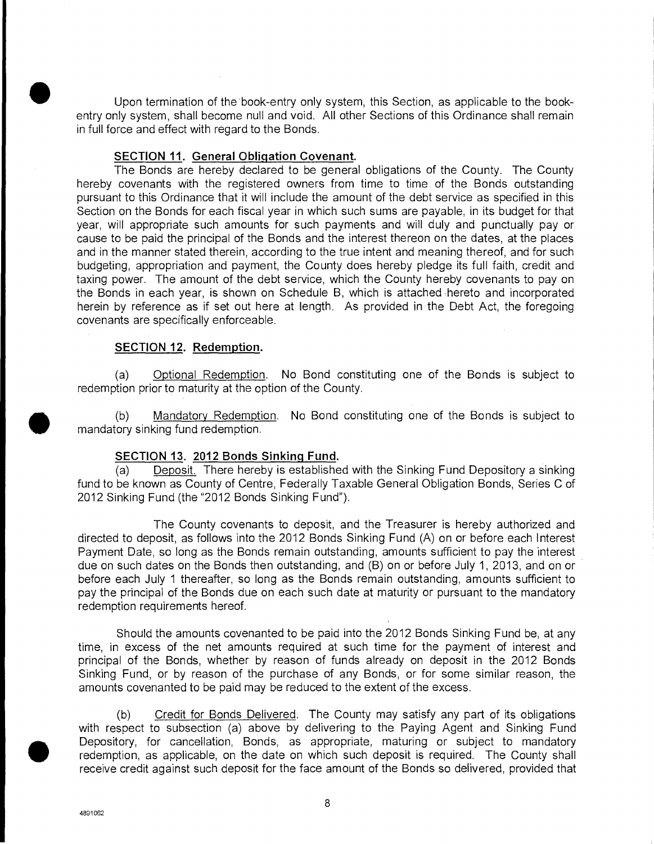Upon termination of the book-entry only system, this Section, as applicable to the bookentry only system, shall become null and void. All other Sections of this Ordinance shall remain in full force and effect with regard to the Bonds.

#### **SECTION II. General Obligation Covenant.**

The Bonds are hereby declared to be general obligations of the County. The County hereby covenants with the registered owners from time to time of the Bonds outstanding pursuant to this Ordinance that it will include the amount of the debt service as specified in this Section on the Bonds for each fiscal year in which such sums are payable, in its budget for that year, will appropriate such amounts for such payments and will duly and punctually pay or cause to be paid the principal of the Bonds and the interest thereon on the dates, at the places and in the manner stated therein, according to the true intent and meaning thereof, and for such budgeting, appropriation and payment, the County does hereby pledge its full faith, credit and taxing power. The amount of the debt service, which the County hereby covenants to pay on the Bonds in each year, is shown on Schedule B, which is attached hereto and incorporated herein by reference as if set out here at length. As provided in the Debt Act, the foregoing covenants are specifically enforceable.

#### **SECTION 12. Redemption.**

(a) Optional Redemption. No Bond constituting one of the Bonds is subject to redemption prior to maturity at the option of the County.

(b) Mandatory Redemption.<br>
mandatory sinking fund redemption. Mandatory Redemption. No Bond constituting one of the Bonds is subject to

#### **SECTION 13. 2012 Bonds Sinking Fund.**

Deposit. There hereby is established with the Sinking Fund Depository a sinking fund to be known as County of Centre, Federally Taxable General Obligation Bonds, Series C of 2012 Sinking Fund (the "2012 Bonds Sinking Fund").

The County covenants to deposit, and the Treasurer is hereby authorized and directed to deposit, as follows into the 2012 Bonds Sinking Fund (A) on or before each Interest Payment Date, so long as the Bonds remain outstanding, amounts sufficient to pay the interest due on such dates on the Bonds then outstanding, and (B) on or before July 1, 2013, and on or before each July 1 thereafter, so long as the Bonds remain outstanding, amounts sufficient to pay the principal of the Bonds due on each such date at maturity or pursuant to the mandatory redemption requirements hereof.

Should the amounts covenanted to be paid into the 2012 Bonds Sinking Fund be, at any time, in excess of the net amounts required at such time for the payment of interest and principal of the Bonds, whether by reason of funds already on deposit in the 2012 Bonds Sinking Fund, or by reason of the purchase of any Bonds, or for some similar reason, the amounts covenanted to be paid may be reduced to the extent of the excess.

(b) Credit for Bonds Delivered. The County may satisfy any part of its obligations with respect to subsection (a) above by delivering to the Paying Agent and Sinking Fund • Depository, for cancellation, Bonds, as appropriate, maturing or subject to mandatory redemption, as applicable, on the date on which such deposit is required. The County shall receive credit against such deposit for the face amount of the Bonds so delivered, provided that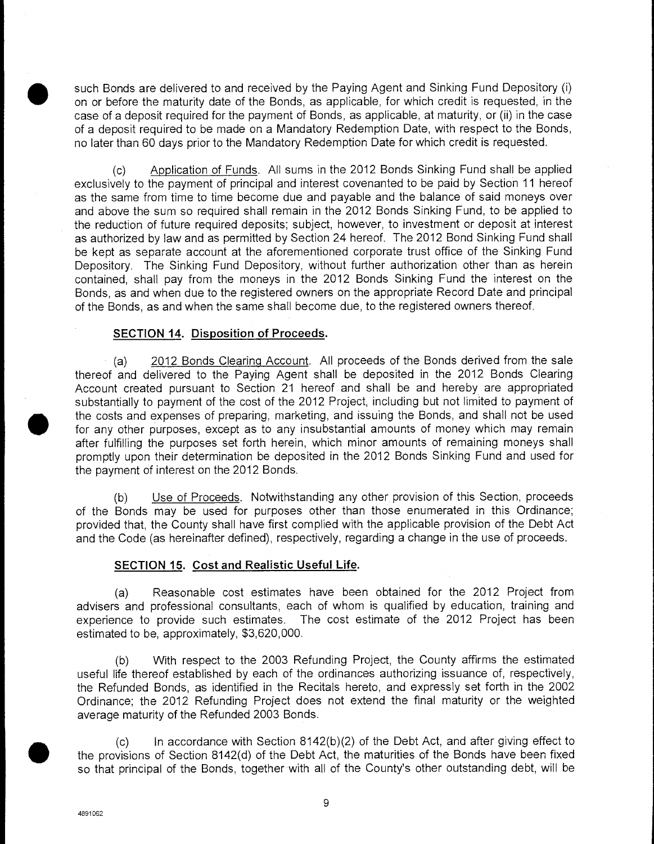such Bonds are delivered to and received by the Paying Agent and Sinking Fund Depository (i) on or before the maturity date of the Bonds, as applicable, for which credit is requested, in the case of a deposit required for the payment of Bonds, as applicable, at maturity, or (ii) in the case of a deposit required to be made on a Mandatory Redemption Date, with respect to the Bonds, no later than 60 days prior to the Mandatory Redemption Date for which credit is requested.

(c) Application of Funds. All sums in the 2012 Bonds Sinking Fund shall be applied exclusively to the payment of principal and interest covenanted to be paid by Section 11 hereof as the same from time to time become due and payable and the balance of said moneys over and above the sum so required shall remain in the 2012 Bonds Sinking Fund, to be applied to the reduction of future required deposits; subject, however, to investment or deposit at interest as authorized by law and as permitted by Section 24 hereof. The 2012 Bond Sinking Fund shall be kept as separate account at the aforementioned corporate trust office of the Sinking Fund Depository. The Sinking Fund Depository, without further authorization other than as herein contained, shall pay from the moneys in the 2012 Bonds Sinking Fund the interest on the Bonds, as and when due to the registered owners on the appropriate Record Date and principal of the Bonds, as and when the same shall become due, to the registered owners thereof.

#### **SECTION 14. Disposition of Proceeds.**

(a) 2012 Bonds Clearing Account. All proceeds of the Bonds derived from the sale thereof and delivered to the Paying Agent shall be deposited in the 2012 Bonds Clearing Account created pursuant to Section 21 hereof and shall be and hereby are appropriated substantially to payment of the cost of the 2012 Project, including but not limited to payment of the costs and expenses of preparing, marketing, and issuing the Bonds, and shall not be used for any other purposes, except as to any insubstantial amounts of money which may remain after fulfilling the purposes set forth herein, which minor amounts of remaining moneys shall promptly upon their determination be deposited in the 2012 Bonds Sinking Fund and used for the payment of interest on the 2012 Bonds.

(b) Use of Proceeds. Notwithstanding any other provision of this Section, proceeds of the Bonds may be used for purposes other than those enumerated in this Ordinance; provided that, the County shall have first complied with the applicable provision of the Debt Act and the Code (as hereinafter defined), respectively, regarding a change in the use of proceeds.

#### **SECTION 15. Cost and Realistic Useful Life.**

(a) Reasonable cost estimates have been obtained for the 2012 Project from advisers and professional consultants, each of whom is qualified by education, training and experience to provide such estimates. The cost estimate of the 2012 Project has been estimated to be, approximately, \$3,620,000.

(b) With respect to the 2003 Refunding Project, the County affirms the estimated useful life thereof established by each of the ordinances authorizing issuance of, respectively, the Refunded Bonds, as identified in the Recitals hereto, and expressly set forth in the 2002 Ordinance; the 2012 Refunding Project does not extend the final maturity or the weighted average maturity of the Refunded 2003 Bonds.

 $(c)$  In accordance with Section 8142 $(b)(2)$  of the Debt Act, and after giving effect to the provisions of Section 8142(d) of the Debt Act, the maturities of the Bonds have been fixed so that principal of the Bonds, together with all of the County's other outstanding debt, will be

 $\bullet$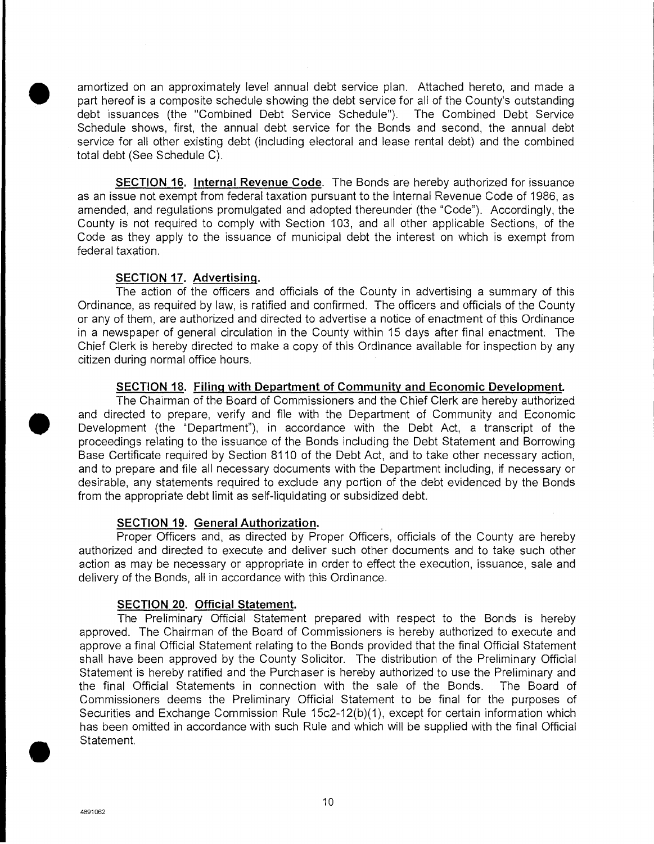amortized on an approximately level annual debt service plan. Attached hereto, and made a part hereof is a composite schedule showing the debt service for all of the County's outstanding debt issuesses (the "Combined Debt debt issuances (the "Combined Debt Service Schedule"). The Combined Debt Service Schedule shows, first, the annual debt service for the Bonds and second, the annual debt service for all other existing debt (including electoral and lease rental debt) and the combined total debt (See Schedule C).

**SECTION** *16.* **Internal Revenue Code.** The Bonds are hereby authorized for issuance as an issue not exempt from federal taxation pursuant to the Internal Revenue Code of 1986, as amended, and regulations promulgated and adopted thereunder (the 'Code"). Accordingly, the County is not required to comply with Section 103, and all other applicable Sections, of the Code as they apply to the issuance of municipal debt the interest on which is exempt from federal taxation.

#### **SECTION 17. Advertising.**

The action of the officers and officials of the County in advertising a summary of this Ordinance, as required by law, is ratified and confirmed. The officers and officials of the County or any of them, are authorized and directed to advertise a notice of enactment of this Ordinance in a newspaper of general circulation in the County within 15 days after final enactment. The Chief Clerk is hereby directed to make a copy of this Ordinance available for inspection by any citizen during normal office hours. Solution of the orientation and directed to properties and officials of the County in advertising a summary of this<br>
Cridinance, as required by law, is ratified and confirmed. The officers and officials of the County<br>
or a

#### **SECTION 18. Filing with Department of Community and Economic Development.**

The Chairman of the Board of Commissioners and the Chief Clerk are hereby authorized Development (the "Department"), in accordance with the Debt Act, a transcript of the proceedings relating to the issuance of the Bonds including the Debt Statement and Borrowing Base Certificate required by Section 8110 of the Debt Act, and to take other necessary action, and to prepare and file all necessary documents with the Department including, if necessary or desirable, any statements required to exclude any portion of the debt evidenced by the Bonds from the appropriate debt limit as self-liquidating or subsidized debt.

#### **SECTION 19. General Authorization.**

Proper Officers and, as directed by Proper Officers, officials of the County are hereby authorized and directed to execute and deliver such other documents and to take such other action as may be necessary or appropriate in order to effect the execution, issuance, sale and delivery of the Bonds, all in accordance with this Ordinance.

#### **SECTION 20. Official Statement.**

The Preliminary Official Statement prepared with respect to the Bonds is hereby approved. The Chairman of the Board of Commissioners is hereby authorized to execute and approve a final Official Statement relating to the Bonds provided that the final Official Statement shall have been approved by the County Solicitor. The distribution of the Preliminary Official Statement is hereby ratified and the Purchaser is hereby authorized to use the Preliminary and the final Official Statements in connection with the sale of the Bonds. The Board of Commissioners deems the Preliminary Official Statement to be final for the purposes of Securities and Exchange Commission Rule 15c2-12(b)(1), except for certain information which has been omitted in accordance with such Rule and which will be supplied with the final Official Statement,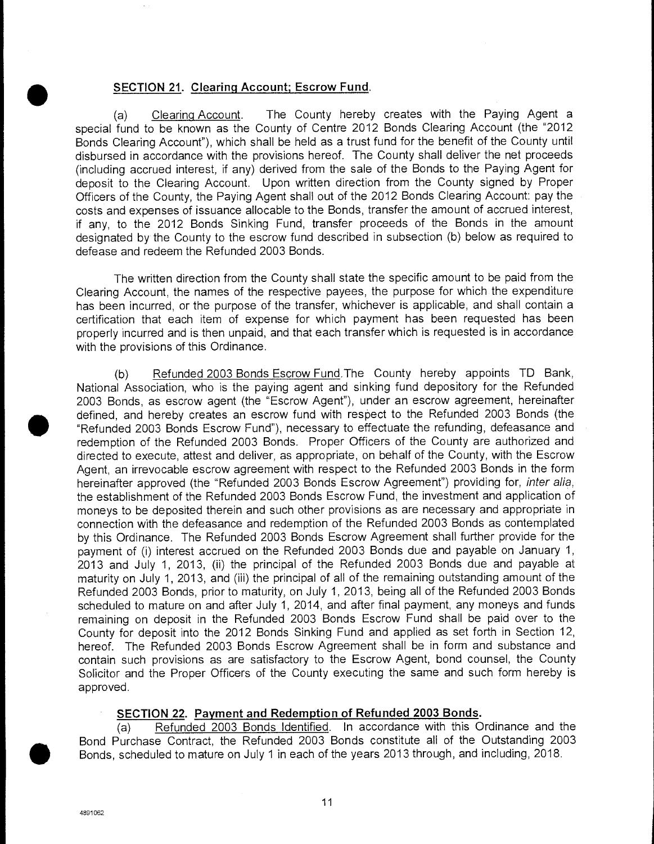# **<u>SECTION 21</u>. Clearing Account; Escrow Fund <br>
(a) Clearing Account. The County hereby**

The County hereby creates with the Paying Agent a special fund to be known as the County of Centre 2012 Bonds Clearing Account (the "2012 Bonds Clearing Account"), which shall be held as a trust fund for the benefit of the County until disbursed in accordance with the provisions hereof. The County shall deliver the net proceeds (including accrued interest, if any) derived from the sale of the Bonds to the Paying Agent for deposit to the Clearing Account. Upon written direction from the County signed by Proper Officers of the County, the Paying Agent shall out of the 2012 Bonds Clearing Account: pay the costs and expenses of issuance allocable to the Bonds, transfer the amount of accrued interest, if any, to the 2012 Bonds Sinking Fund, transfer proceeds of the Bonds in the amount designated by the County to the escrow fund described in subsection (b) below as required to defease and redeem the Refunded 2003 Bonds.

The written direction from the County shall state the specific amount to be paid from the Clearing Account, the names of the respective payees, the purpose for which the expenditure has been incurred, or the purpose of the transfer, whichever is applicable, and shall contain a certification that each item of expense for which payment has been requested has been properly incurred and is then unpaid, and that each transfer which is requested is in accordance with the provisions of this Ordinance.

(b) Refunded 2003 Bonds Escrow Fund.The County hereby appoints TD Bank, National Association, who is the paying agent and sinking fund depository for the Refunded 2003 Bonds, as escrow agent (the "Escrow Agent"), under an escrow agreement, hereinafter • defined, and hereby creates an escrow fund with respect to the Refunded 2003 Bonds (the "Refunded 2003 Bonds Escrow Fund"), necessary to effectuate the refunding, defeasance and redemption of the Refunded 2003 Bonds. Proper Officers of the County are authorized and directed to execute, attest and deliver, as appropriate, on behalf of the County, with the Escrow Agent, an irrevocable escrow agreement with respect to the Refunded 2003 Bonds in the form hereinafter approved (the "Refunded 2003 Bonds Escrow Agreement") providing for, inter alia, the establishment of the Refunded 2003 Bonds Escrow Fund, the investment and application of moneys to be deposited therein and such other provisions as are necessary and appropriate in connection with the defeasance and redemption of the Refunded 2003 Bonds as contemplated by this Ordinance. The Refunded 2003 Bonds Escrow Agreement shall further provide for the payment of (i) interest accrued on the Refunded 2003 Bonds due and payable on January 1, 2013 and July 1, 2013, (ii) the principal of the Refunded 2003 Bonds due and payable at maturity on July 1, 2013, and (iii) the principal of all of the remaining outstanding amount of the Refunded 2003 Bonds, prior to maturity, on July 1, 2013, being all of the Refunded 2003 Bonds scheduled to mature on and after July 1, 2014, and after final payment, any moneys and funds remaining on deposit in the Refunded 2003 Bonds Escrow Fund shall be paid over to the County for deposit into the 2012 Bonds Sinking Fund and applied as set forth in Section 12, hereof. The Refunded 2003 Bonds Escrow Agreement shall be in form and substance and contain such provisions as are satisfactory to the Escrow Agent, bond counsel, the County Solicitor and the Proper Officers of the County executing the same and such form hereby is approved.

#### **SECTION 22. Payment and Redemption of Refunded 2003 Bonds.**

(a) Refunded 2003 Bonds Identified. In accordance with this Ordinance and the Bond Purchase Contract, the Refunded 2003 Bonds constitute all of the Outstanding 2003 Bonds, scheduled to mature on July 1 in each of the years 2013 through, and including, 2018.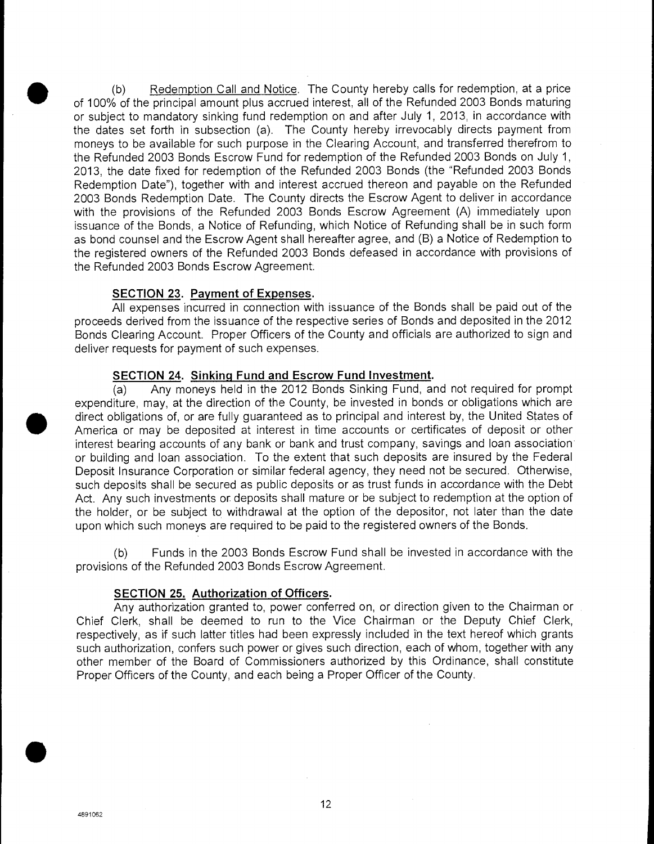(b) Redemption Call and Notice. The County hereby calls for redemption, at a price<br>of 100% of the principal amount plus accrued interest, all of the Refunded 2003 Bonds maturing<br>or subject to mandatory sinking fund redempt of 100% of the principal amount plus accrued interest, all of the Refunded 2003 Bonds maturing or subject to mandatory sinking fund redemption on and after July 1, 2013, in accordance with the dates set forth in subsection (a). The County hereby irrevocably directs payment from moneys to be available for such purpose in the Clearing Account, and transferred therefrom to the Refunded 2003 Bonds Escrow Fund for redemption of the Refunded 2003 Bonds on July 1, 2013, the date fixed for redemption of the Refunded 2003 Bonds (the "Refunded 2003 Bonds Redemption Date"), together with and interest accrued thereon and payable on the Refunded 2003 Bonds Redemption Date. The County directs the Escrow Agent to deliver in accordance with the provisions of the Refunded 2003 Bonds Escrow Agreement (A) immediately upon issuance of the Bonds, a Notice of Refunding, which Notice of Refunding shall be in such form as bond counsel and the Escrow Agent shall hereafter agree, and (B) a Notice of Redemption to the registered owners of the Refunded 2003 Bonds defeased in accordance with provisions of the Refunded 2003 Bonds Escrow Agreement.

#### **SECTION 23. Payment of Expenses.**

All expenses incurred in connection with issuance of the Bonds shall be paid out of the proceeds derived from the issuance of the respective series of Bonds and deposited in the 2012 Bonds Clearing Account. Proper Officers of the County and officials are authorized to sign and deliver requests for payment of such expenses.

#### **SECTION 24. Sinking Fund and Escrow Fund Investment.**

(a) Any moneys held in the 2012 Bonds Sinking Fund, and not required for prompt the Refunde<br>
SEC<br>
All e<br>
proceeds de<br>
Bonds Clea<br>
deliver requ<br>
deliver requ<br>
SEC<br>
(a)<br>
expenditure<br>
direct obliga<br>
America or<br>
interest bea expenditure, may, at the direction of the County, be invested in bonds or obligations which are direct obligations of, or are fully guaranteed as to principal and interest by, the United States of America or may be deposited at interest in time accounts or certificates of deposit or other interest bearing accounts of any bank or bank and trust company, savings and loan association or building and loan association. To the extent that such deposits are insured by the Federal Deposit Insurance Corporation or similar federal agency, they need not be secured. Otherwise, such deposits shall be secured as public deposits or as trust funds in accordance with the Debt Act. Any such investments or deposits shall mature or be subject to redemption at the option of the holder, or be subject to withdrawal at the option of the depositor, not later than the date upon which such moneys are required to be paid to the registered owners of the Bonds.

(b) Funds in the 2003 Bonds Escrow Fund shall be invested in accordance with the provisions of the Refunded 2003 Bonds Escrow Agreement.

#### **SECTION 25. Authorization of Officers.**

Any authorization granted to, power conferred on, or direction given to the Chairman or Chief Clerk, shall be deemed to run to the Vice Chairman or the Deputy Chief Clerk, respectively, as if such latter titles had been expressly included in the text hereof which grants such authorization, confers such power or gives such direction, each of whom, together with any other member of the Board of Commissioners authorized by this Ordinance, shall constitute Proper Officers of the County, and each being a Proper Officer of the County.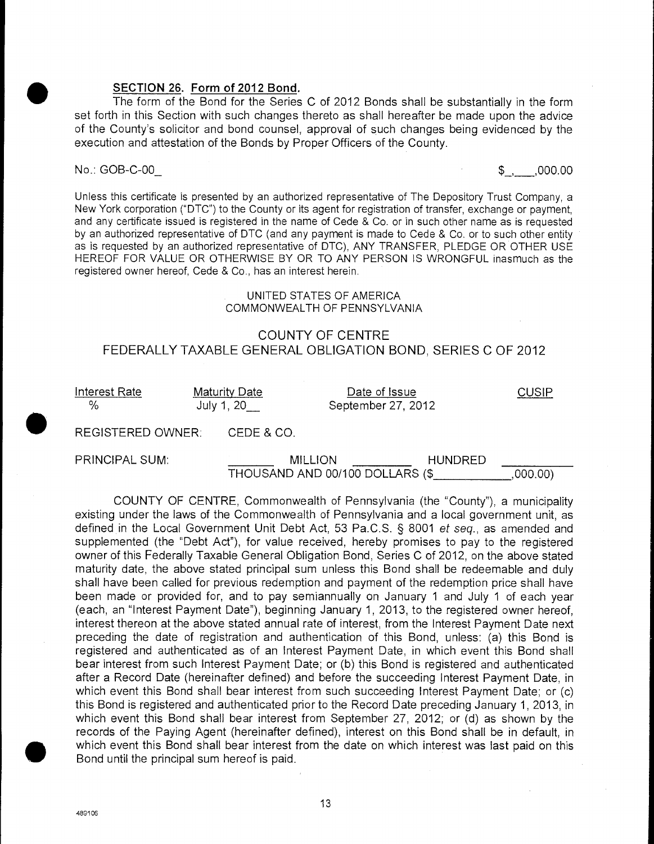**SECTION 26. Form of 2012 Bond.**<br>The form of the Bond for the Series<br>set forth in this Section with such changes to<br>of the County's solicitor and bond counsel The form of the Bond for the Series C of 2012 Bonds shall be substantially in the form set forth in this Section with such changes thereto as shall hereafter be made upon the advice of the County's solicitor and bond counsel, approval of such changes being evidenced by the execution and attestation of the Bonds by Proper Officers of the County.

#### No.: GOB-C-00\_ 6. The set of the set of the set of the set of the set of the set of the set of the set of the set of the set of the set of the set of the set of the set of the set of the set of the set of the set of the se

Unless this certificate is presented by an authorized representative of The Depository Trust Company, a New York corporation ("DTC") to the County or its agent for registration of transfer, exchange or payment, and any certificate issued is registered in the name of Cede & Co. or in such other name as is requested by an authorized representative of DTC (and any payment is made to Cede & Co. or to such other entity as is requested by an authorized representative of DTC), ANY TRANSFER, PLEDGE OR OTHER USE HEREOF FOR VALUE OR OTHERWISE BY OR TO ANY PERSON IS WRONGFUL inasmuch as the registered owner hereof, Cede & Co., has an interest herein.

#### UNITED STATES OF AMERICA COMMONWEALTH OF PENNSYLVANIA

#### COUNTY OF CENTRE FEDERALLY TAXABLE GENERAL OBLIGATION BOND, SERIES C OF 2012

Interest Rate Maturity Date CUSIP % July 1, 20\_ September 27, 2012

REGISTERED OWNER: CEDE & CO.

PRINCIPAL SUM: MILLION MILLION HUNDRED THOUSAND AND 00/100 DOLLARS (\$ ,000.00)

COUNTY OF CENTRE, Commonwealth of Pennsylvania (the "County"), a municipality existing under the laws of the Commonwealth of Pennsylvania and a local government unit, as defined in the Local Government Unit Debt Act, 53 Pa.C.S. § 8001 et seq., as amended and supplemented (the "Debt Act"), for value received, hereby promises to pay to the registered owner of this Federally Taxable General Obligation Bond, Series C of 2012, on the above stated maturity date, the above stated principal sum unless this Bond shall be redeemable and duly shall have been called for previous redemption and payment of the redemption price shall have been made or provided for, and to pay semiannually on January 1 and July 1 of each year (each, an "Interest Payment Date"), beginning January 1, 2013, to the registered owner hereof, interest thereon at the above stated annual rate of interest, from the Interest Payment Date next preceding the date of registration and authentication of this Bond, unless: (a) this Bond is registered and authenticated as of an Interest Payment Date, in which event this Bond shall bear interest from such Interest Payment Date; or (b) this Bond is registered and authenticated after a Record Date (hereinafter defined) and before the succeeding Interest Payment Date, in which event this Bond shall bear interest from such succeeding Interest Payment Date; or (c) this Bond is registered and authenticated prior to the Record Date preceding January 1, 2013, in which event this Bond shall bear interest from September 27, 2012; or (d) as shown by the records of the Paying Agent (hereinafter defined), interest on this Bond shall be in default, in which event this Bond shall bear interest from the date on which interest was last paid on this Bond until the principal sum hereof is paid.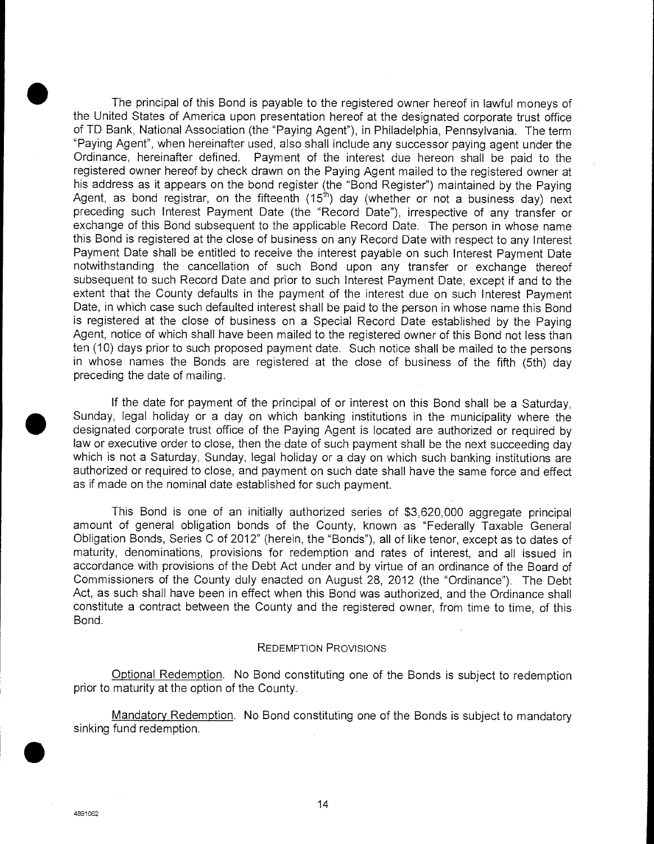The principal of this Bond is payable to the registered owner hereof in lawful moneys of the United States of America upon presentation hereof at the designated corporate trust office of TD Bank, National Association (the "Paying Agent"), in Philadelphia, Pennsylvania. The term "Paying Agent", when hereinafter used, also shall include any successor paying agent under the Ordinance, hereinafter defined. Payment of the interest due hereon shall be paid to the registered owner hereof by check drawn on the Paying Agent mailed to the registered owner at his address as it appears on the bond register (the "Bond Register") maintained by the Paying Agent, as bond registrar, on the fifteenth  $(15<sup>th</sup>)$  day (whether or not a business day) next preceding such Interest Payment Date (the "Record Date"), irrespective of any transfer or exchange of this Bond subsequent to the applicable Record Date. The person in whose name this Bond is registered at the close of business on any Record Date with respect to any Interest Payment Date shall be entitled to receive the interest payable on such Interest Payment Date notwithstanding the cancellation of such Bond upon any transfer or exchange thereof subsequent to such Record Date and prior to such Interest Payment Date, except if and to the extent that the County defaults in the payment of the interest due on such Interest Payment Date, in which case such defaulted interest shall be paid to the person in whose name this Bond is registered at the close of business on a Special Record Date established by the Paying Agent, notice of which shall have been mailed to the registered owner of this Bond not less than ten (10) days prior to such proposed payment date. Such notice shall be mailed to the persons in whose names the Bonds are registered at the close of business of the fifth (5th) day preceding the date of mailing.

If the date for payment of the principal of or interest on this Bond shall be a Saturday, • Sunday, legal holiday or a day on which banking institutions in the municipality where the designated corporate trust office of the Paying Agent is located are authorized or required by law or executive order to close, then the date of such payment shall be the next succeeding day which is not a Saturday, Sunday, legal holiday or a day on which such banking institutions are authorized or required to close, and payment on such date shall have the same force and effect as if made on the nominal date established for such payment.

This Bond is one of an initially authorized series of \$3,620,000 aggregate principal amount of general obligation bonds of the County, known as "Federally Taxable General Obligation Bonds, Series C of 2012" (herein, the "Bonds"), all of like tenor, except as to dates of maturity, denominations, provisions for redemption and rates of interest, and all issued in accordance with provisions of the Debt Act under and by virtue of an ordinance of the Board of Commissioners of the County duly enacted on August 28, 2012 (the "Ordinance"). The Debt Act, as such shall have been in effect when this Bond was authorized, and the Ordinance shall constitute a contract between the County and the registered owner, from time to time, of this Bond.

#### REDEMPTION PROVISIONS

Optional Redemption. No Bond constituting one of the Bonds is subject to redemption prior to maturity at the option of the County.

Mandatory Redemption. No Bond constituting one of the Bonds is subject to mandatory sinking fund redemption.

**S**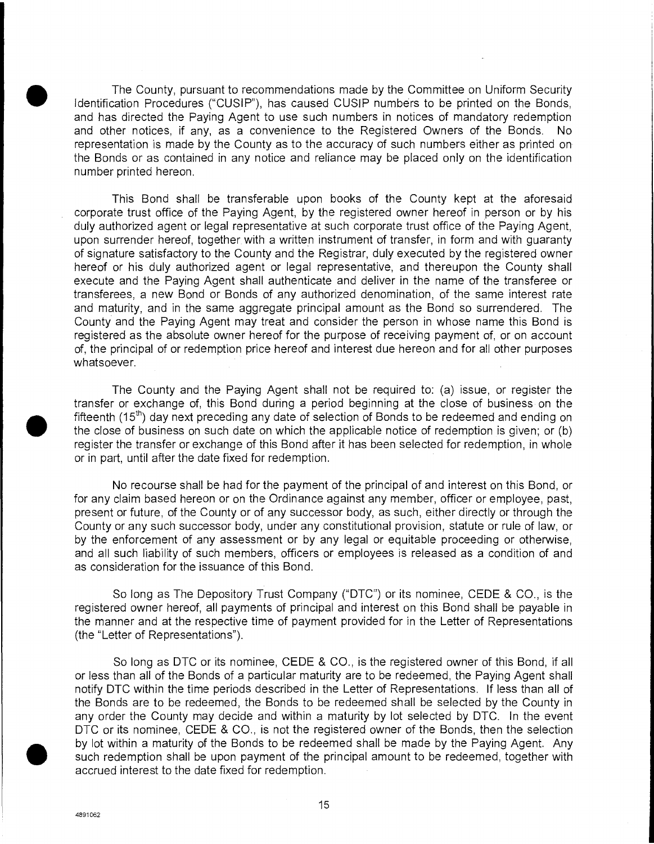The County, pursuant to recommendations made by the Committee on Uniform Security Identification Procedures ("CUSIP"), has caused CUSIP numbers to be printed on the Bonds, and has directed the Paying Agent to use such numbers in notices of mandatory redemption and other notices, if any, as a convenience to the Registered Owners of the Bonds. No representation is made by the County as to the accuracy of such numbers either as printed on the Bonds or as contained in any notice and reliance may be placed only on the identification number printed hereon.

This Bond shall be transferable upon books of the County kept at the aforesaid corporate trust office of the Paying Agent, by the registered owner hereof in person or by his duly authorized agent or legal representative at such corporate trust office of the Paying Agent, upon surrender hereof, together with a written instrument of transfer, in form and with guaranty of signature satisfactory to the County and the Registrar, duly executed by the registered owner hereof or his duly authorized agent or legal representative, and thereupon the County shall execute and the Paying Agent shall authenticate and deliver in the name of the transferee or transferees, a new Bond or Bonds of any authorized denomination, of the same interest rate and maturity, and in the same aggregate principal amount as the Bond so surrendered. The County and the Paying Agent may treat and consider the person in whose name this Bond is registered as the absolute owner hereof for the purpose of receiving payment of, or on account of, the principal of or redemption price hereof and interest due hereon and for all other purposes whatsoever.

The County and the Paying Agent shall not be required to: (a) issue, or register the transfer or exchange of, this Bond during a period beginning at the close of business on the fifteenth (15<sup>th</sup>) day next preceding any date of selection of Bonds to be redeemed and ending on the close of business on such date on which the applicable notice of redemption is given; or (b) register the transfer or exchange of this Bond after it has been selected for redemption, in whole or in part, until after the date fixed for redemption.

No recourse shall be had for the payment of the principal of and interest on this Bond, or for any claim based hereon or on the Ordinance against any member, officer or employee, past, present or future, of the County or of any successor body, as such, either directly or through the County or any such successor body, under any constitutional provision, statute or rule of law, or by the enforcement of any assessment or by any legal or equitable proceeding or otherwise, and all such liability of such members, officers or employees is released as a condition of and as consideration for the issuance of this Bond.

So long as The Depository Trust Company ("DTC") or its nominee, CEDE & CO., is the registered owner hereof, all payments of principal and interest on this Bond shall be payable in the manner and at the respective time of payment provided for in the Letter of Representations (the "Letter of Representations").

So long as DTC or its nominee, CEDE & CO., is the registered owner of this Bond, if all or less than all of the Bonds of a particular maturity are to be redeemed, the Paying Agent shall notify DTC within the time periods described in the Letter of Representations. If less than all of the Bonds are to be redeemed, the Bonds to be redeemed shall be selected by the County in any order the County may decide and within a maturity by lot selected by DTC. In the event DTC or its nominee, CEDE & CO., is not the registered owner of the Bonds, then the selection by lot within a maturity of the Bonds to be redeemed shall be made by the Paying Agent. Any such redemption shall be upon payment of the principal amount to be redeemed, together with accrued interest to the date fixed for such redemption shall be upon payment of the principal amount to be redeemed, together with accrued interest to the date fixed for redemption.

 $\bullet$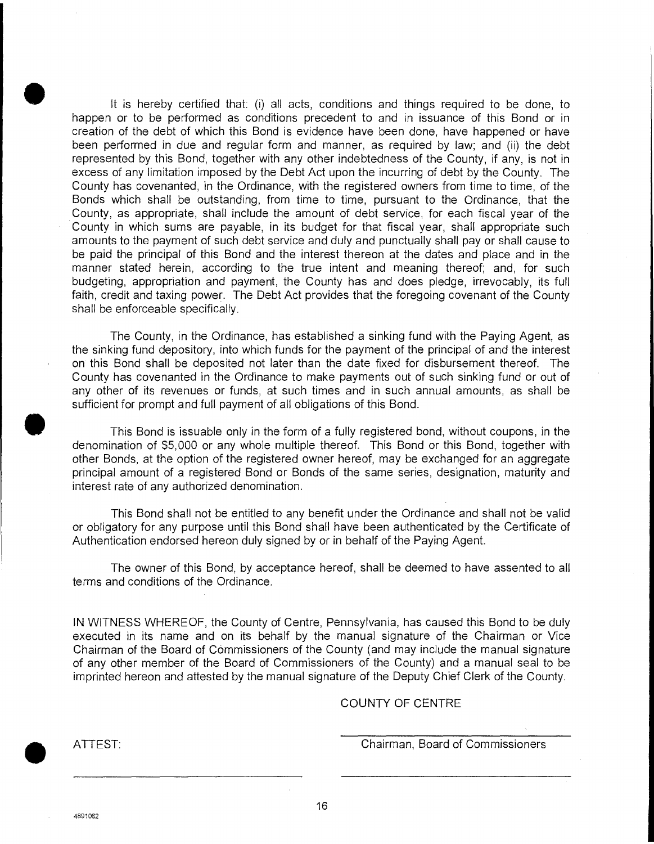It is hereby certified that: (i) all acts, conditions and things required to be done, to happen or to be performed as conditions precedent to and in issuance of this Bond or in creation of the debt of which this Bond is evidence have been done, have happened or have been performed in due and regular form and manner, as required by law; and (ii) the debt represented by this Bond, together with any other indebtedness of the County, if any, is not in excess of any limitation imposed by the Debt Act upon the incurring of debt by the County. The County has covenanted, in the Ordinance, with the registered owners from time to time, of the Bonds which shall be outstanding, from time to time, pursuant to the Ordinance, that the County, as appropriate, shall include the amount of debt service, for each fiscal year of the County in which sums are payable, in its budget for that fiscal year, shall appropriate such amounts to the payment of such debt service and duly and punctually shall pay or shall cause to be paid the principal of this Bond and the interest thereon at the dates and place and in the manner stated herein, according to the true intent and meaning thereof; and, for such budgeting, appropriation and payment, the County has and does pledge, irrevocably, its full faith, credit and taxing power. The Debt Act provides that the foregoing covenant of the County shall be enforceable specifically.

The County, in the Ordinance, has established a sinking fund with the Paying Agent, as the sinking fund depository, into which funds for the payment of the principal of and the interest on this Bond shall be deposited not later than the date fixed for disbursement thereof. The County has covenanted in the Ordinance to make payments out of such sinking fund or out of any other of its revenues or funds, at such times and in such annual amounts, as shall be sufficient for prompt and full payment of all obligations of this Bond.

This Bond is issuable only in the form of a fully registered bond, without coupons, in the denomination of \$5,000 or any whole multiple thereof. This Bond or this Bond, together with other Bonds, at the option of the registered owner hereof, may be exchanged for an aggregate principal amount of a registered Bond or Bonds of the same series, designation, maturity and interest rate of any authorized denomination.

This Bond shall not be entitled to any benefit under the Ordinance and shall not be valid or obligatory for any purpose until this Bond shall have been authenticated by the Certificate of Authentication endorsed hereon duly signed by or in behalf of the Paying Agent.

The owner of this Bond, by acceptance hereof, shall be deemed to have assented to all terms and conditions of the Ordinance.

IN WITNESS WHEREOF, the County of Centre, Pennsylvania, has caused this Bond to be duly executed in its name and on its behalf by the manual signature of the Chairman or Vice Chairman of the Board of Commissioners of the County (and may include the manual signature of any other member of the Board of Commissioners of the County) and a manual seal to be imprinted hereon and attested by the manual signature of the Deputy Chief Clerk of the County.

#### COUNTY OF CENTRE

**0 ATTEST:** Chairman, Board of Commissioners

4891062

16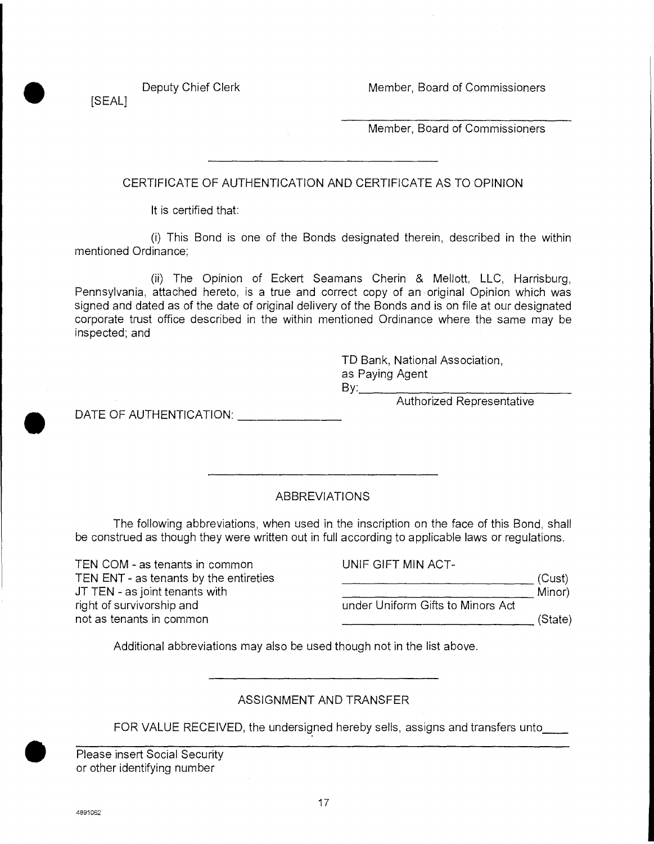Deputy Chief Clerk Member, Board of Commissioners

[SEAL]

Member, Board of Commissioners

CERTIFICATE OF AUTHENTICATION AND CERTIFICATE AS TO OPINION

It is certified that:

(i) This Bond is one of the Bonds designated therein, described in the within mentioned Ordinance;

(ii) The Opinion of Eckert Seamans Cherin & Mellott, LLC, Harrisburg, Pennsylvania, attached hereto, is a true and correct copy of an original Opinion which was signed and dated as of the date of original delivery of the Bonds and is on file at our designated corporate trust office described in the within mentioned Ordinance where the same may be inspected; and

> TD Bank, National Association, as Paying Agent **By:**

Authorized Representative

DATE OF AUTHENTICATION: **DATE OF AUTHENTICATION:** 

### ABBREVIATIONS

The following abbreviations, when used in the inscription on the face of this Bond, shall be construed as though they were written out in full according to applicable laws or regulations.

TEN COM - as tenants in common TEN ENT - as tenants by the entireties JT TEN - as joint tenants with right of survivorship and not as tenants in common

| UNIF GIFT MIN ACT-                |         |
|-----------------------------------|---------|
|                                   | (Cust)  |
|                                   | Minor)  |
| under Uniform Gifts to Minors Act |         |
|                                   | (State) |

Additional abbreviations may also be used though not in the list above.

### ASSIGNMENT AND TRANSFER

FOR VALUE RECEIVED, the undersigned hereby sells, assigns and transfers unto

Please insert Social Security or other identifying number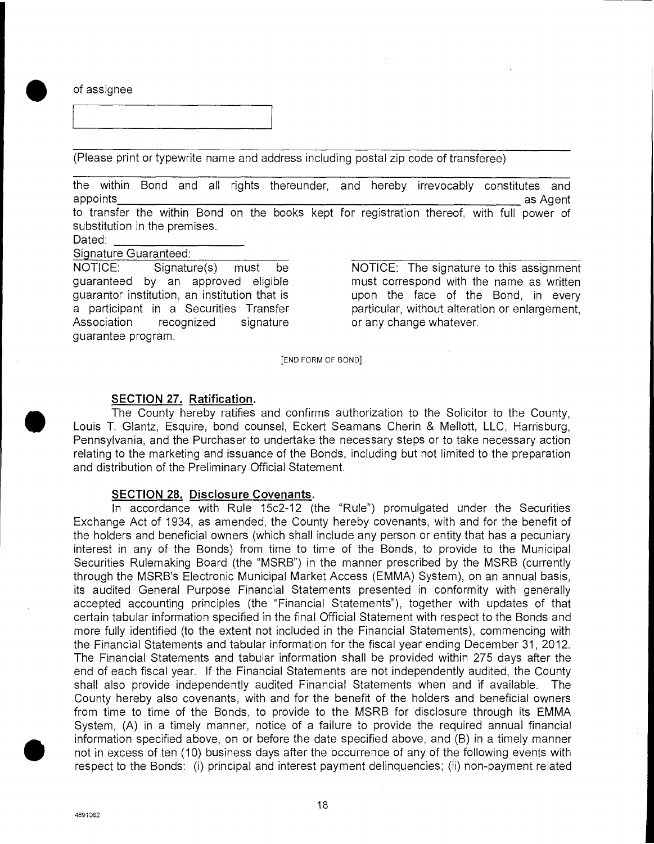**0** of assignee

(Please print or typewrite name and address including postal zip code of transferee)

the within Bond and all rights thereunder, and hereby irrevocably constitutes and appoints\_ - asAcient to transfer the within Bond on the books kept for registration thereof, with full power of

substitution in the premises.

Dated:

Signature Guaranteed:

Association recognized signature or any change whatever. guarantee program.

NOTICE: Signature(s) must be NOTICE: The signature to this assignment guaranteed by an approved eligible must correspond with the name as written guarantor institution, an institution that is upon the face of the Bond, in every a participant in a Securities Transfer particular, without alteration or enlargement,

[END FORM OF BOND]

#### **SECTION 27. Ratification.**

The County hereby ratifies and confirms authorization to the Solicitor to the County, Louis T. Glantz, Esquire, bond counsel, Eckert Seamans Cherin & Mellott, LLC, Harrisburg, Pennsylvania, and the Purchaser to undertake the necessary steps or to take necessary action relating to the marketing and issuance of the Bonds, including but not limited to the preparation and distribution of the Preliminary Official Statement.

#### **SECTION 28. Disclosure Covenants.**

In accordance with Rule 15c2-12 (the "Rule") promulgated under the Securities Exchange Act of 1934, as amended, the County hereby covenants, with and for the benefit of the holders and beneficial owners (which shall include any person or entity that has a pecuniary interest in any of the Bonds) from time to time of the Bonds, to provide to the Municipal Securities Rulemaking Board (the "MSRB") in the manner prescribed by the MSRB (currently through the MSRB's Electronic Municipal Market Access (EMMA) System), on an annual basis, its audited General Purpose Financial Statements presented in conformity with generally accepted accounting principles (the "Financial Statements"), together with updates of that certain tabular information specified in the final Official Statement with respect to the Bonds and more fully identified (to the extent not included in the Financial Statements), commencing with the Financial Statements and tabular information for the fiscal year ending December 31, 2012. The Financial Statements and tabular information shall be provided within 275 days after the end of each fiscal year. If the Financial Statements are not independently audited, the County shall also provide independently audited Financial Statements when and if available. The County hereby also covenants, with and for the benefit of the holders and beneficial owners from time to time of the Bonds, to provide to the MSRB for disclosure through its EMMA System, (A) in a timely manner, notice of a failure to provide the required annual financial information specified above, on or before the date specified above, and (B) in a timely manner not in excess of ten (10) business days after the occurrence of any of the following events with respect to the Bonds: (i) principal and interest payment delinquencies; (ii) non-payment related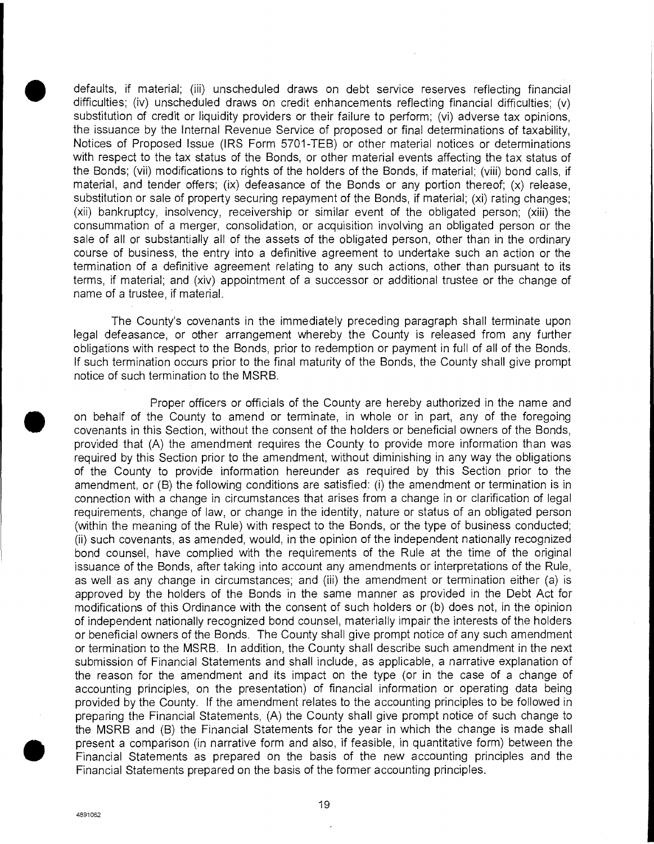defaults, if material; (iii) unscheduled draws on debt service reserves reflecting financial difficulties; (iv) unscheduled draws on credit enhancements reflecting financial difficulties; (v) substitution of credit or liquidity providers or their failure to perform; (vi) adverse tax opinions, the issuance by the Internal Revenue Service of proposed or final determinations of taxability, Notices of Proposed Issue (IRS Form 5701-TEB) or other material notices or determinations with respect to the tax status of the Bonds, or other material events affecting the tax status of the Bonds; (vii) modifications to rights of the holders of the Bonds, if material; (viii) bond calls, if material, and tender offers; (ix) defeasance of the Bonds or any portion thereof; (x) release, substitution or sale of property securing repayment of the Bonds, if material; (xi) rating changes; (xii) bankruptcy, insolvency, receivership or similar event of the obligated person; (xiii) the consummation of a merger, consolidation, or acquisition involving an obligated person or the sale of all or substantially all of the assets of the obligated person, other than in the ordinary course of business, the entry into a definitive agreement to undertake such an action or the termination of a definitive agreement relating to any such actions, other than pursuant to its terms, if material; and (xiv) appointment of a successor or additional trustee or the change of name of a trustee, if material.

The County's covenants in the immediately preceding paragraph shall terminate upon legal defeasance, or other arrangement whereby the County is released from any further obligations with respect to the Bonds, prior to redemption or payment in full of all of the Bonds. If such termination occurs prior to the final maturity of the Bonds, the County shall give prompt notice of such termination to the MSRB. termination<br>terms, if ma<br>name of a tr<br>The<br>legal defea:<br>obligations \<br>If such term<br>notice of such<br>on behalf c<br>covenants in<br>provided this

Proper officers or officials of the County are hereby authorized in the name and on behalf of the County to amend or terminate, in whole or in part, any of the foregoing covenants in this Section, without the consent of the holders or beneficial owners of the Bonds, provided that (A) the amendment requires the County to provide more information than was required by this Section prior to the amendment, without diminishing in any way the obligations of the County to provide information hereunder as required by this Section prior to the amendment, or (B) the following conditions are satisfied: (i) the amendment or termination is in connection with a change in circumstances that arises from a change in or clarification of legal requirements, change of law, or change in the identity, nature or status of an obligated person (within the meaning of the Rule) with respect to the Bonds, or the type of business conducted; (ii) such covenants, as amended, would, in the opinion of the independent nationally recognized bond counsel, have complied with the requirements of the Rule at the time of the original issuance of the Bonds, after taking into account any amendments or interpretations of the Rule, as well as any change in circumstances; and (iii) the amendment or termination either (a) is approved by the holders of the Bonds in the same manner as provided in the Debt Act for modifications of this Ordinance with the consent of such holders or (b) does not, in the opinion of independent nationally recognized bond counsel, materially impair the interests of the holders or beneficial owners of the Bonds. The County shall give prompt notice of any such amendment or termination to the MSRB. in addition, the County shall describe such amendment in the next submission of Financial Statements and shall include, as applicable, a narrative explanation of the reason for the amendment and its impact on the type (or in the case of a change of accounting principles, on the presentation) of financial information or operating data being provided by the County. If the amendment relates to the accounting principles to be followed in preparing the Financial Statements, (A) the County shall give prompt notice of such change to as well as a<br>approved b<br>modification<br>of independ<br>or beneficia<br>or termination<br>submission<br>the reason<br>accounting<br>provided by<br>preparing the MSRB<br>present a c<br>Financial S<br>Financial S<br>Financial S<br>Financial S the MSRB and (B) the Financial Statements for the year in which the change is made shall present a comparison (in narrative form and also, if feasible, in quantitative form) between the Financial Statements as prepared on the basis of the new accounting principles and the Financial Statements prepared on the basis of the former accounting principles.

4891052

19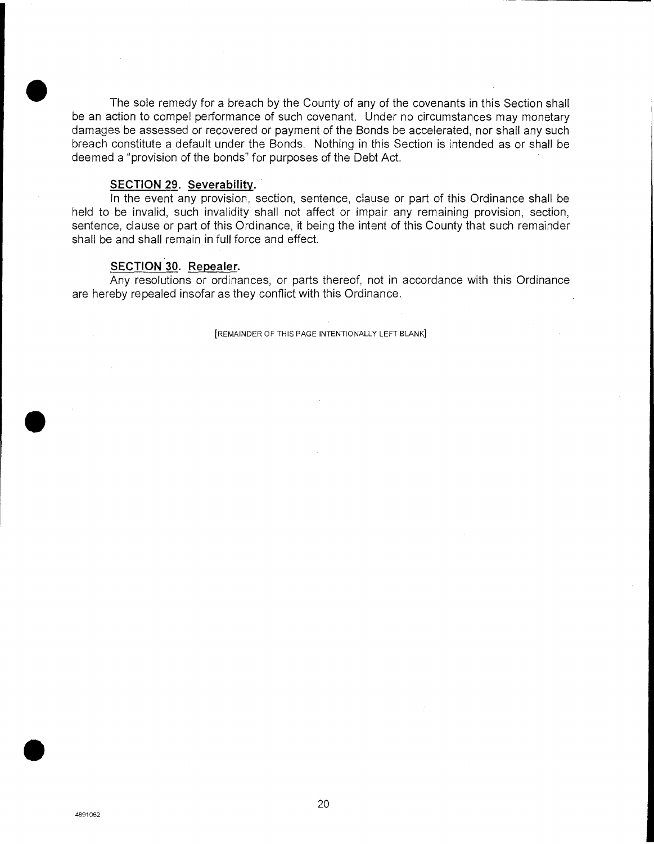The sole remedy for a breach by the County of any of the covenants in this Section shall be an action to compel performance of such covenant. Under no circumstances may monetary damages be assessed or recovered or payment of the Bonds be accelerated, nor shall any such breach constitute a default under the Bonds. Nothing in this Section is intended as or shall be deemed a "provision of the bonds" for purposes of the Debt Act.

#### **SECTION 29. Severability.,**

In the event any provision, section, sentence, clause or part of this Ordinance shall be held to be invalid, such invalidity shall not affect or impair any remaining provision, section, sentence, clause or part of this Ordinance, it being the intent of this County that such remainder shall be and shall remain in full force and effect.

#### **SECTION 30. Repealer.**

Any resolutions or ordinances, or parts thereof, not in accordance with this Ordinance are hereby repealed insofar as they conflict with this Ordinance.

[REMAINDER OF THIS PAGE INTENTIONALLY LEFT BLANK]

**S**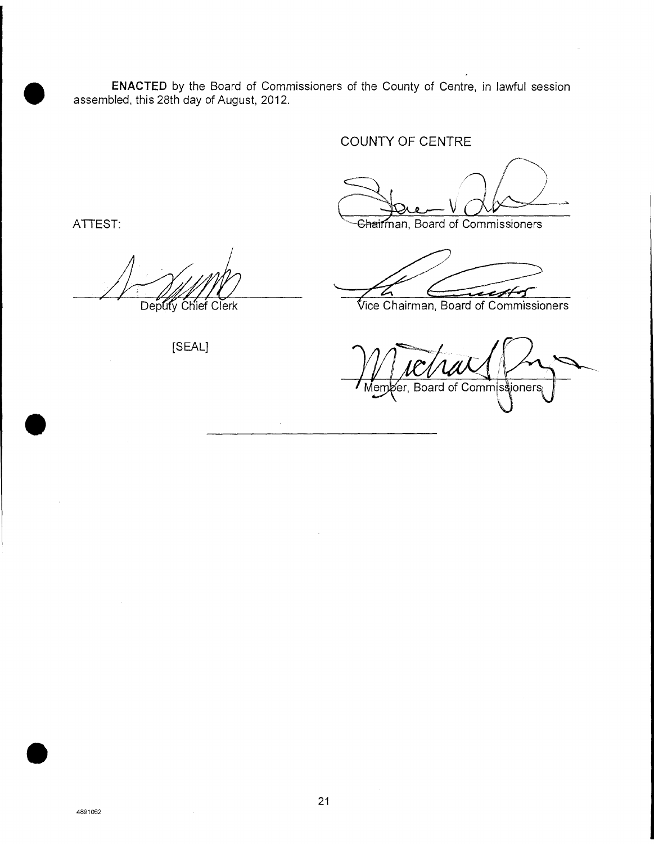**ENACTED** by the Board of Commissioners of the County of Centre, in lawful session assembled, this 28th day of August, 2012.

### COUNTY OF CENTRE

ATTEST: **Manufather Chairman**, Board of Commissioners

 $\bullet$ 

 $\bullet$ 

[SEAL]

 $41 -$ Deputy Chief Clerk **in the Clerk in the Chairman**, Board of Commissioners

Member, Board of Commissioners.

 $\bullet$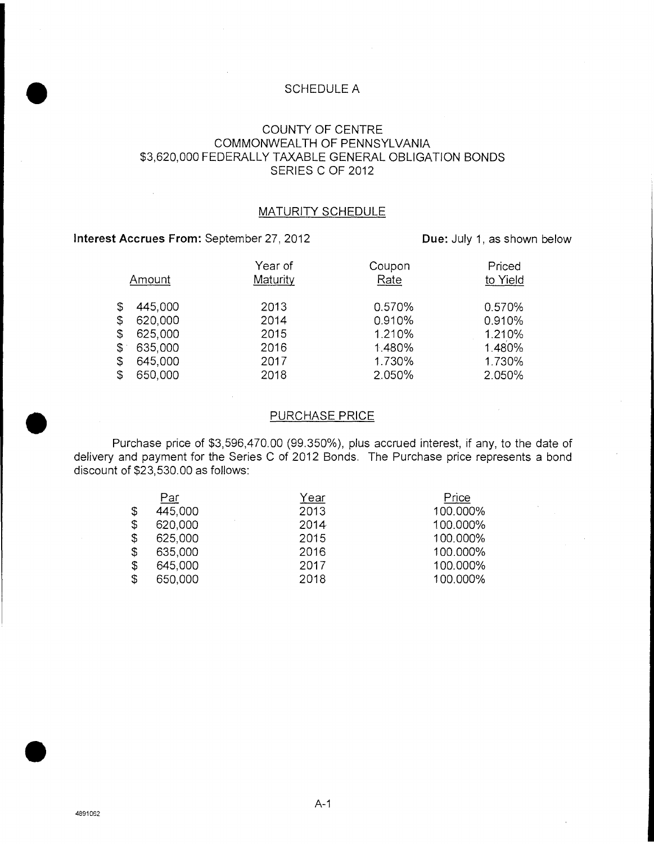## **ISCHEDULE A**<br> **I** COLINITY OF CENT COUNTY OF CENTRE COMMONWEALTH OF PENNSYLVANIA \$3,620,000 FEDERALLY TAXABLE GENERAL OBLIGATION BONDS SERIES C OF 2012

#### MATURITY SCHEDULE

#### **Interest Accrues From:** September 27, 2012 **Due: July 1, as shown below**

 $\mathcal{A}$ 

|             | Amount  | Year of<br>Maturity | Coupon<br>Rate | Priced<br>to Yield |
|-------------|---------|---------------------|----------------|--------------------|
| \$          | 445,000 | 2013                | 0.570%         | 0.570%             |
| \$          | 620,000 | 2014                | 0.910%         | 0.910%             |
| \$          | 625,000 | 2015                | 1.210%         | 1.210%             |
| $$^{\circ}$ | 635,000 | 2016                | 1.480%         | 1.480%             |
| \$          | 645,000 | 2017                | 1.730%         | 1.730%             |
| \$          | 650,000 | 2018                | 2.050%         | 2.050%             |

#### PURCHASE PRICE

Purchase price of \$3,596,470.00 (99.350%), plus accrued interest, if any, to the date of delivery and payment for the Series C of 2012 Bonds. The Purchase price represents a bond discount of \$23,530.00 as follows:

| Par           | Year | Price    |
|---------------|------|----------|
| \$<br>445,000 | 2013 | 100.000% |
| \$<br>620,000 | 2014 | 100.000% |
| \$<br>625,000 | 2015 | 100.000% |
| \$<br>635,000 | 2016 | 100.000% |
| \$<br>645,000 | 2017 | 100.000% |
| \$<br>650,000 | 2018 | 100.000% |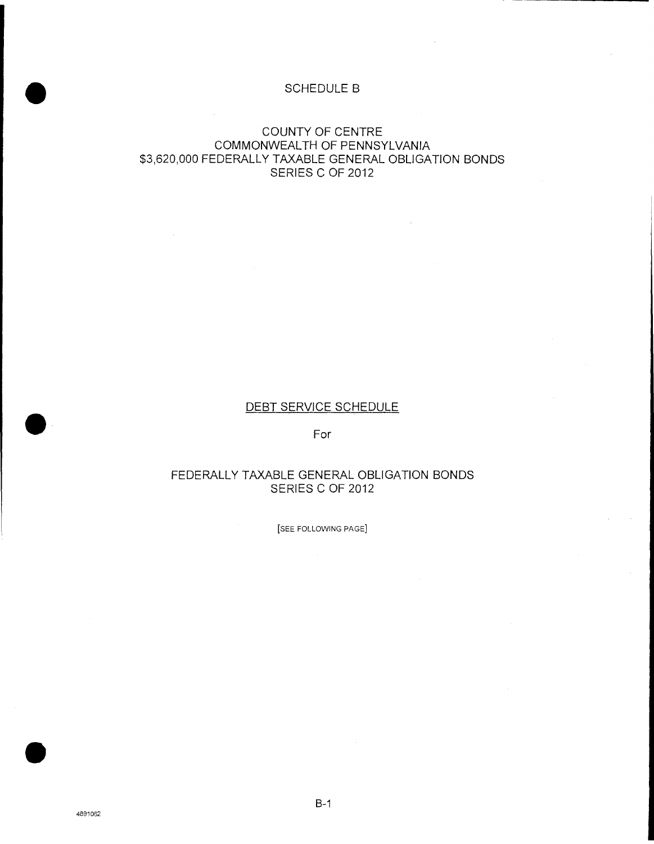# ON SCHEDULE B

#### COUNTY OF CENTRE COMMONWEALTH OF PENNSYLVANIA \$3,620,000 FEDERALLY TAXABLE GENERAL OBLIGATION BONDS SERIES C OF 2012

## DEBT SERVICE SCHEDULE DEBT SERVICE<br>For

#### FEDERALLY TAXABLE GENERAL OBLIGATION BONDS SERIES C OF 2012

[SEE FOLLOWING PAGE]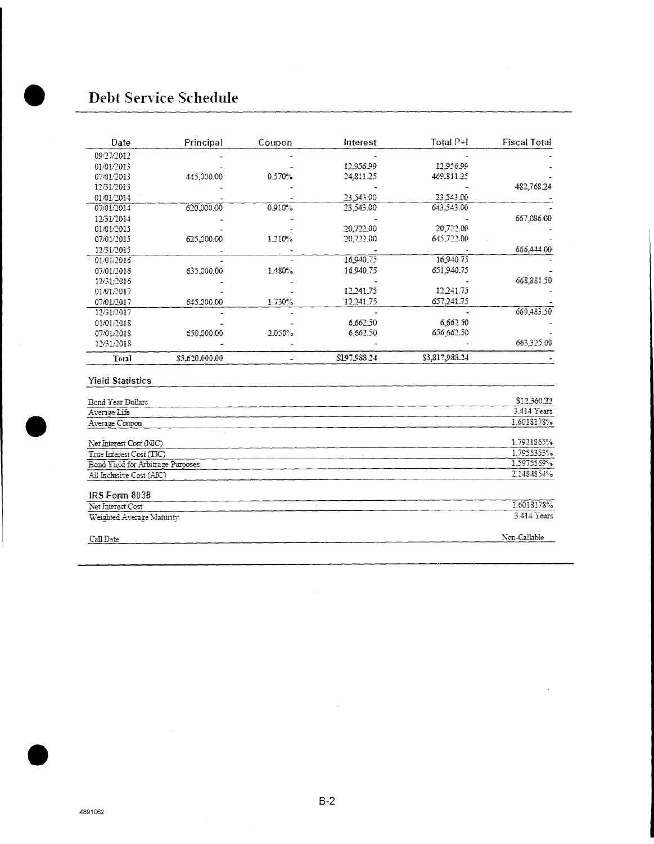### 0 Debt Service Schedule

| Date                              | Principal      | Coupon | Interest     | Total P+I      | <b>Fiscal Total</b> |
|-----------------------------------|----------------|--------|--------------|----------------|---------------------|
| 09/27/2012                        |                |        |              |                |                     |
| 01/01/2013                        |                |        | 12.956.99    | 12.956.99      |                     |
| 07/01/2013                        | 445,000.00     | 0.570% | 24,811.25    | 469.811.25     |                     |
| 12/31/2013                        |                |        |              |                | 482.768.24          |
| 01/01/2014                        |                |        | 23.543.00    | 23.543.00      |                     |
| 07/01/2014                        | 620,000.00     | 0.910% | 23.543.00    | 643.543.00     |                     |
| 12/31/2014                        |                |        |              |                | 667,086.00          |
| 01/01/2015                        |                |        | 20,722.00    | 20,722.00      |                     |
| 07/01/2015                        | 625,000.00     | 1.210% | 20,722.00    | 645,722.00     |                     |
| 12/31/2015                        |                |        |              |                | 666,444.00          |
| 01/01/2016                        |                |        | 16,940.75    | 16,940.75      |                     |
| 07/01/2016                        | 635,000.00     | 1.480% | 16,940.75    | 651,940.75     |                     |
| 12/31/2016                        |                |        |              |                | 668.881.50          |
| 01/01/2017                        |                |        | 12.241.75    | 12.241.75      |                     |
| 07/01/2017                        | 645 000 00     | 1.730% | 12.241.75    | 657,241.75     |                     |
| 12/31/2017                        |                |        |              |                | 669,483.50          |
| 01/01/2018                        |                |        | 6,662.50     | 6,662.50       |                     |
| 07/01/2018                        | 650.000.00     | 2.050% | 6.662.50     | 656,662.50     |                     |
| 12/31/2018                        |                |        |              |                | 663.325.00          |
| Total                             | \$3,620,000.00 |        | \$197,988.24 | \$3,817,988.24 |                     |
| <b>Yield Statistics</b>           |                |        |              |                |                     |
| Bond Year Dollars                 |                |        |              |                | \$12.360.22         |
| Average Life                      |                |        |              |                | 3.414 Years         |
| Average Coupon                    |                |        |              |                | 1.6018178%          |
| Net Interest Cost (NIC)           |                |        |              |                | 1.7921865%          |
| True Interest Cost (TIC)          |                |        |              |                | 1.7955353%          |
| Bond Yield for Arbitrage Purposes |                |        |              |                | 1.5975569%          |
| All Inclusive Cost (AIC)          |                |        |              |                | 2.1484854%          |
| IRS Form 8038                     |                |        |              |                |                     |

 $\sim$   $\sim$ 

| Net Interest Cost         | 1.6018178%    |
|---------------------------|---------------|
| Weighted Average Maturity | $3.414$ Years |
|                           |               |
| Call Date                 | Non-Callable  |

 $\bar{z}$ 





 $\sim$ 

 $\ddot{\phantom{a}}$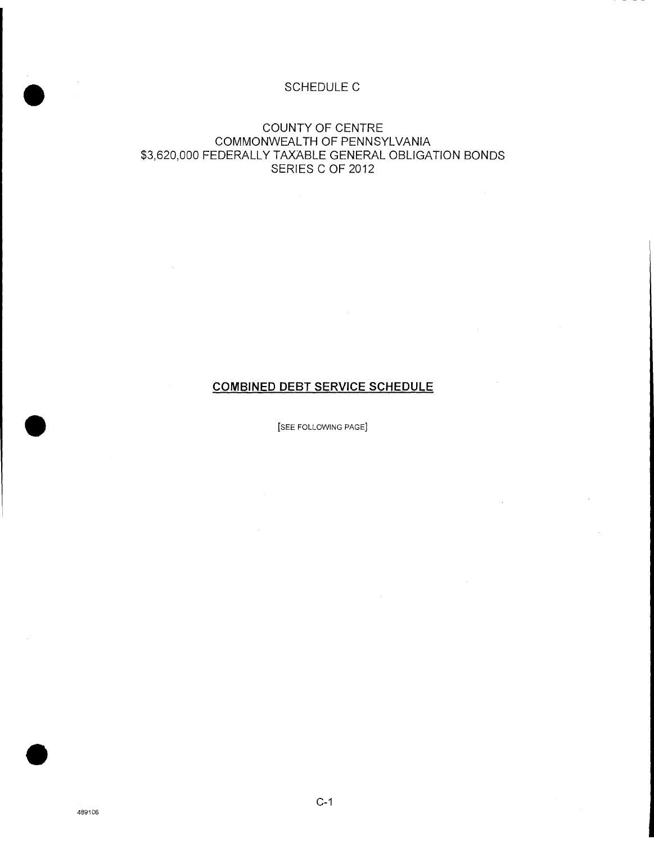# 0<br>SCHEDULE C<br>● SCHEDULE C

#### COUNTY OF CENTRE COMMONWEALTH OF PENNSYLVANIA \$3,620,000 FEDERALLY TAXABLE GENERAL OBLIGATION BONDS SERIES C OF 2012

### **COMBINED DEBT SERVICE SCHEDULE**

**DEE FOLLOWING PAGE]**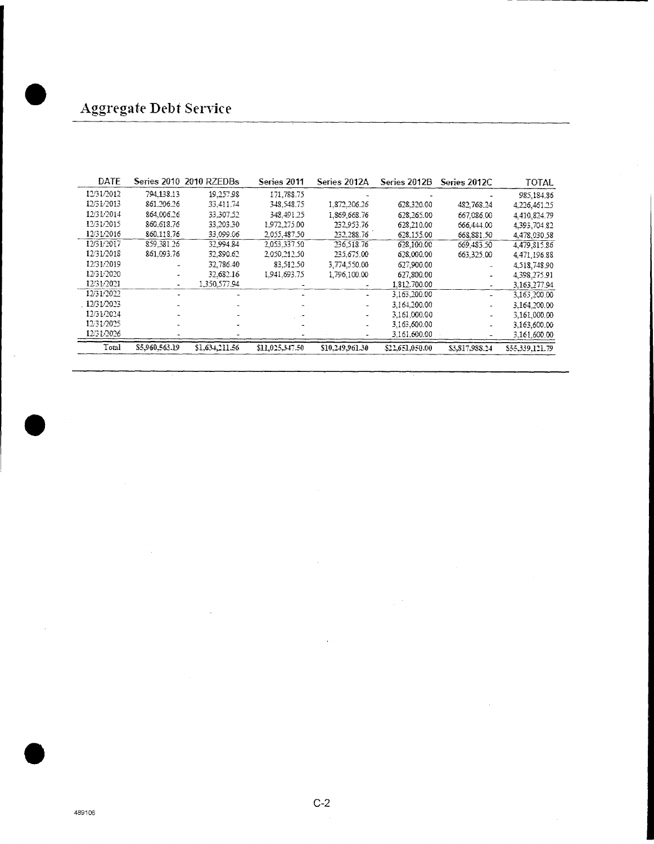| DATE       |                | Series 2010 2010 RZEDBs | Series 2011     | Series 2012A          | Series 2012B    | Series 2012C   | <b>TOTAL</b>    |
|------------|----------------|-------------------------|-----------------|-----------------------|-----------------|----------------|-----------------|
| 12/31/2012 | 794.138.13     | 19,257.98               | 171,788.75      |                       |                 |                | 985.184.86      |
| 12/31/2013 | 861.206.26     | 33.411.74               | 348.548.75      | 1,872,206.26          | 628.320.00      | 482.768.24     | 4.226,461.25    |
| 12/31/2014 | 864.006.26     | 33,307.52               | 348.491.25      | 1.869.668.76          | 628,265.00      | 667.086.00     | 4.410.824.79    |
| 12/31/2015 | 860.618.76     | 33.203.30               | 1,972,275.00    | 232.953.76            | 623,210.00      | 666.444.00     | 4,393,704.82    |
| 12/31/2016 | 860.118.76     | 33,099.06               | 2.055,487.50    | 232,288.76            | 628.155.00      | 668.881.50     | 4.478.030.58    |
| 12/31/2017 | 859.381.26     | 32.994.84               | 2.053.337.50    | 236,518.76            | 628,100.00      | 669.483.50     | 4,479,815.86    |
| 12/31/2018 | 861.093.76     | 32,890.62               | 2050.212.50     | 235,675.00            | 628,000.00      | 663.325.00     | 4.471.196.88    |
| 12/31/2019 |                | 32.786.40               | 83.512.50       | 3,774,550.00          | 627,900.00      |                | 4.518,748.90    |
| 12/31/2020 |                | 32.682.16               | 1.941.693.75    | 1,796,100.00          | 627,800.00      |                | 4,398,275.91    |
| 12/31/2021 |                | 1.350.577.94            |                 |                       | 1.812.700.00    |                | 3.163.277.94    |
| 12/31/2022 |                |                         |                 | $\blacksquare$        | 3.163.200.00    | ÷              | 3,163,200.00    |
| 12/31/2023 |                |                         |                 | ٠                     | 3.164.200.00    | ÷.             | 3.164.200.00    |
| 12/31/2024 |                |                         |                 |                       | 3,161,000.00    | $\overline{a}$ | 3,161,000.00    |
| 12/31/2025 |                |                         |                 | $\tilde{\phantom{a}}$ | 3,163,600.00    | ۰              | 3.163,600.00    |
| 12/31/2026 |                |                         |                 |                       | 3,161,600.00    |                | 3.161.600.00    |
| Total      | \$5,960,563.19 | \$1,631,211.56          | \$11,025,347.50 | \$10.249.961.30       | \$22,651,050.00 | \$3,817,988.24 | \$55,339,121.79 |

**S**